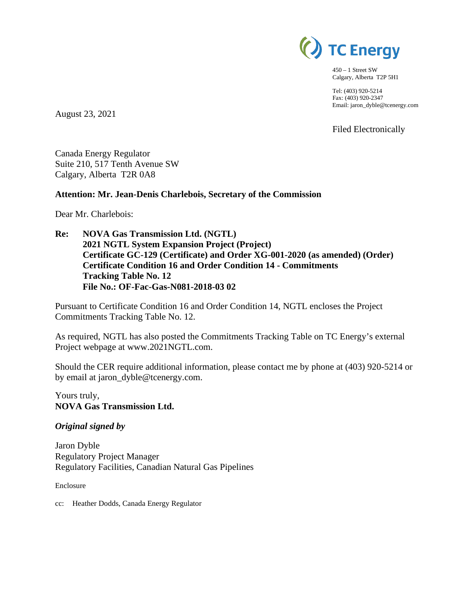

450 – 1 Street SW Calgary, Alberta T2P 5H1

Tel: (403) 920-5214 Fax: (403) 920-2347 Email: jaron\_dyble@tcenergy.com

Filed Electronically

August 23, 2021

Canada Energy Regulator Suite 210, 517 Tenth Avenue SW Calgary, Alberta T2R 0A8

#### **Attention: Mr. Jean-Denis Charlebois, Secretary of the Commission**

Dear Mr. Charlebois:

**Re: NOVA Gas Transmission Ltd. (NGTL) 2021 NGTL System Expansion Project (Project) Certificate GC-129 (Certificate) and Order XG-001-2020 (as amended) (Order) Certificate Condition 16 and Order Condition 14 - Commitments Tracking Table No. 12 File No.: OF-Fac-Gas-N081-2018-03 02** 

Pursuant to Certificate Condition 16 and Order Condition 14, NGTL encloses the Project Commitments Tracking Table No. 12.

As required, NGTL has also posted the Commitments Tracking Table on TC Energy's external Project webpage at www.2021NGTL.com.

Should the CER require additional information, please contact me by phone at (403) 920-5214 or by email at jaron\_dyble@tcenergy.com.

Yours truly, **NOVA Gas Transmission Ltd.**

#### *Original signed by*

Jaron Dyble Regulatory Project Manager Regulatory Facilities, Canadian Natural Gas Pipelines

Enclosure

cc: Heather Dodds, Canada Energy Regulator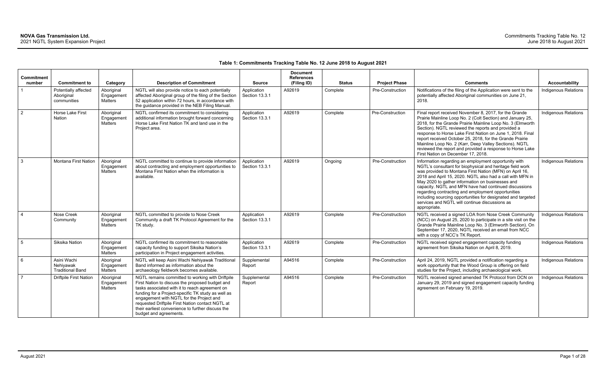### **Table 1: Commitments Tracking Table No. 12 June 2018 to August 2021**

| Commitment      |                                                     |                                            |                                                                                                                                                                                                                                                                                                                                                                                            |                               | <b>Document</b><br><b>References</b> |               |                         |                                                                                                                                                                                                                                                                                                                                                                                                                                                                                                                                                |                             |
|-----------------|-----------------------------------------------------|--------------------------------------------|--------------------------------------------------------------------------------------------------------------------------------------------------------------------------------------------------------------------------------------------------------------------------------------------------------------------------------------------------------------------------------------------|-------------------------------|--------------------------------------|---------------|-------------------------|------------------------------------------------------------------------------------------------------------------------------------------------------------------------------------------------------------------------------------------------------------------------------------------------------------------------------------------------------------------------------------------------------------------------------------------------------------------------------------------------------------------------------------------------|-----------------------------|
| number          | <b>Commitment to</b>                                | Category                                   | <b>Description of Commitment</b>                                                                                                                                                                                                                                                                                                                                                           | <b>Source</b>                 | (Filing ID)                          | <b>Status</b> | <b>Project Phase</b>    | <b>Comments</b>                                                                                                                                                                                                                                                                                                                                                                                                                                                                                                                                | <b>Accountability</b>       |
|                 | Potentially affected<br>Aboriginal<br>communities   | Aboriginal<br>Engagement<br>Matters        | NGTL will also provide notice to each potentially<br>affected Aboriginal group of the filing of the Section<br>52 application within 72 hours, in accordance with<br>the guidance provided in the NEB Filing Manual.                                                                                                                                                                       | Application<br>Section 13.3.1 | A92619                               | Complete      | <b>Pre-Construction</b> | Notifications of the filing of the Application were sent to the<br>potentially affected Aboriginal communities on June 21,<br>2018.                                                                                                                                                                                                                                                                                                                                                                                                            | <b>Indigenous Relations</b> |
| $\overline{2}$  | Horse Lake First<br>Nation                          | Aboriginal<br>Engagement<br>Matters        | NGTL confirmed its commitment to considering<br>additional information brought forward concerning<br>Horse Lake First Nation TK and land use in the<br>Project area.                                                                                                                                                                                                                       | Application<br>Section 13.3.1 | A92619                               | Complete      | Pre-Construction        | Final report received November 8, 2017, for the Grande<br>Prairie Mainline Loop No. 2 (Colt Section) and January 25,<br>2018, for the Grande Prairie Mainline Loop No. 3 (Elmworth<br>Section). NGTL reviewed the reports and provided a<br>response to Horse Lake First Nation on June 1, 2018. Final<br>report received October 25, 2018, for the Grande Prairie<br>Mainline Loop No. 2 (Karr, Deep Valley Sections). NGTL<br>reviewed the report and provided a response to Horse Lake<br>First Nation on December 17, 2018.                | <b>Indigenous Relations</b> |
| $\mathbf{3}$    | <b>Montana First Nation</b>                         | Aboriginal<br>Engagement<br><b>Matters</b> | NGTL committed to continue to provide information<br>about contracting and employment opportunities to<br>Montana First Nation when the information is<br>available.                                                                                                                                                                                                                       | Application<br>Section 13.3.1 | A92619                               | Ongoing       | Pre-Construction        | Information regarding an employment opportunity with<br>NGTL's consultant for biophysical and heritage field work<br>was provided to Montana First Nation (MFN) on April 16,<br>2018 and April 15, 2020. NGTL also had a call with MFN in<br>May 2020 to gather information on businesses and<br>capacity. NGTL and MFN have had continued discussions<br>regarding contracting and employment opportunities<br>including sourcing opportunities for designated and targeted<br>services and NGTL will continue discussions as<br>appropriate. | <b>Indigenous Relations</b> |
| $\overline{4}$  | Nose Creek<br>Community                             | Aboriginal<br>Engagement<br><b>Matters</b> | NGTL committed to provide to Nose Creek<br>Community a draft TK Protocol Agreement for the<br>TK study.                                                                                                                                                                                                                                                                                    | Application<br>Section 13.3.1 | A92619                               | Complete      | Pre-Construction        | NGTL received a signed LOA from Nose Creek Community<br>(NCC) on August 25, 2020 to participate in a site visit on the<br>Grande Prairie Mainline Loop No. 3 (Elmworth Section). On<br>September 17, 2020, NGTL received an email from NCC<br>with a copy of NCC's TK Report.                                                                                                                                                                                                                                                                  | <b>Indigenous Relations</b> |
| $5\overline{5}$ | Siksika Nation                                      | Aboriginal<br>Engagement<br><b>Matters</b> | NGTL confirmed its commitment to reasonable<br>capacity funding to support Siksika Nation's<br>participation in Project engagement activities.                                                                                                                                                                                                                                             | Application<br>Section 13.3.1 | A92619                               | Complete      | Pre-Construction        | NGTL received signed engagement capacity funding<br>agreement from Siksika Nation on April 8, 2019.                                                                                                                                                                                                                                                                                                                                                                                                                                            | <b>Indigenous Relations</b> |
| 6               | Asini Wachi<br>Nehiyawak<br><b>Traditional Band</b> | Aboriginal<br>Engagement<br>Matters        | NGTL will keep Asini Wachi Nehiyawak Traditional<br>Band informed as information about the<br>archaeology fieldwork becomes available.                                                                                                                                                                                                                                                     | Supplemental<br>Report        | A94516                               | Complete      | Pre-Construction        | April 24, 2019, NGTL provided a notification regarding a<br>work opportunity that the Wood Group is offering on field<br>studies for the Project, including archaeological work.                                                                                                                                                                                                                                                                                                                                                               | Indigenous Relations        |
| $\overline{7}$  | <b>Driftpile First Nation</b>                       | Aboriginal<br>Engagement<br>Matters        | NGTL remains committed to working with Driftpile<br>First Nation to discuss the proposed budget and<br>tasks associated with it to reach agreement on<br>funding for a Project-specific TK study as well as<br>engagement with NGTL for the Project and<br>requested Driftpile First Nation contact NGTL at<br>their earliest convenience to further discuss the<br>budget and agreements. | Supplemental<br>Report        | A94516                               | Complete      | Pre-Construction        | NGTL received signed amended TK Protocol from DCN on<br>January 29, 2019 and signed engagement capacity funding<br>agreement on February 19, 2019.                                                                                                                                                                                                                                                                                                                                                                                             | Indigenous Relations        |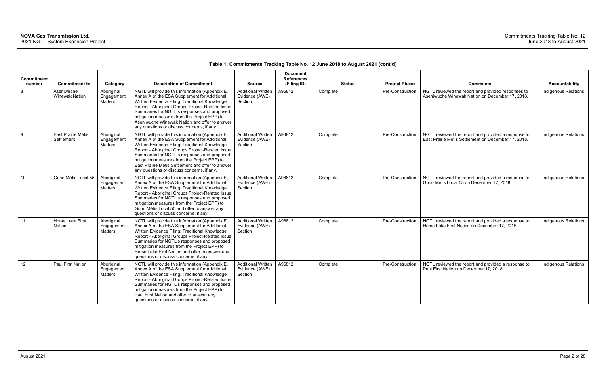| Commitment      |                                     |                                            |                                                                                                                                                                                                                                                                                                                                                                                                         |                                                        | <b>Document</b><br><b>References</b> |          |                                       |                                                                                                            |                             |
|-----------------|-------------------------------------|--------------------------------------------|---------------------------------------------------------------------------------------------------------------------------------------------------------------------------------------------------------------------------------------------------------------------------------------------------------------------------------------------------------------------------------------------------------|--------------------------------------------------------|--------------------------------------|----------|---------------------------------------|------------------------------------------------------------------------------------------------------------|-----------------------------|
| number          | <b>Commitment to</b>                | Category                                   | <b>Description of Commitment</b>                                                                                                                                                                                                                                                                                                                                                                        | <b>Source</b>                                          | (Filing ID)                          |          | <b>Status</b><br><b>Project Phase</b> | <b>Comments</b>                                                                                            | <b>Accountability</b>       |
| 8               | Aseniwuche<br><b>Winewak Nation</b> | Aboriginal<br>Engagement<br>Matters        | NGTL will provide this information (Appendix E,<br>Annex A of the ESA Supplement for Additional<br>Written Evidence Filing: Traditional Knowledge<br>Report - Aboriginal Groups Project-Related Issue<br>Summaries for NGTL's responses and proposed<br>mitigation measures from the Project EPP) to<br>Aseniwuche Winewak Nation and offer to answer<br>any questions or discuss concerns, if any.     | <b>Additional Written</b><br>Evidence (AWE)<br>Section | A96812                               | Complete | Pre-Construction                      | NGTL reviewed the report and provided responses to<br>Aseniwuche Winewak Nation on December 17, 2018.      | Indigenous Relations        |
| 9               | East Prairie Métis<br>Settlement    | Aboriginal<br>Engagement<br><b>Matters</b> | NGTL will provide this information (Appendix E,<br>Annex A of the ESA Supplement for Additional<br>Written Evidence Filing: Traditional Knowledge<br>Report - Aboriginal Groups Project-Related Issue<br>Summaries for NGTL's responses and proposed<br>mitigation measures from the Project EPP) to<br>East Prairie Métis Settlement and offer to answer<br>any questions or discuss concerns, if any. | <b>Additional Written</b><br>Evidence (AWE)<br>Section | A96812                               | Complete | Pre-Construction                      | NGTL reviewed the report and provided a response to<br>East Prairie Métis Settlement on December 17, 2018. | Indigenous Relations        |
| 10 <sup>°</sup> | Gunn Métis Local 55                 | Aboriginal<br>Engagement<br>Matters        | NGTL will provide this information (Appendix E,<br>Annex A of the ESA Supplement for Additional<br>Written Evidence Filing: Traditional Knowledge<br>Report - Aboriginal Groups Project-Related Issue<br>Summaries for NGTL's responses and proposed<br>mitigation measures from the Project EPP) to<br>Gunn Métis Local 55 and offer to answer any<br>questions or discuss concerns, if any.           | <b>Additional Written</b><br>Evidence (AWE)<br>Section | A96812                               | Complete | Pre-Construction                      | NGTL reviewed the report and provided a response to<br>Gunn Métis Local 55 on December 17, 2018.           | <b>Indigenous Relations</b> |
| 11              | Horse Lake First<br><b>Nation</b>   | Aboriginal<br>Engagement<br>Matters        | NGTL will provide this information (Appendix E,<br>Annex A of the ESA Supplement for Additional<br>Written Evidence Filing: Traditional Knowledge<br>Report - Aboriginal Groups Project-Related Issue<br>Summaries for NGTL's responses and proposed<br>mitigation measures from the Project EPP) to<br>Horse Lake First Nation and offer to answer any<br>questions or discuss concerns, if any.       | <b>Additional Written</b><br>Evidence (AWE)<br>Section | A96812                               | Complete | Pre-Construction                      | NGTL reviewed the report and provided a response to<br>Horse Lake First Nation on December 17, 2018.       | Indigenous Relations        |
| 12 <sup>°</sup> | Paul First Nation                   | Aboriginal<br>Engagement<br><b>Matters</b> | NGTL will provide this information (Appendix E,<br>Annex A of the ESA Supplement for Additional<br>Written Evidence Filing: Traditional Knowledge<br>Report - Aboriginal Groups Project-Related Issue<br>Summaries for NGTL's responses and proposed<br>mitigation measures from the Project EPP) to<br>Paul First Nation and offer to answer any<br>questions or discuss concerns, if any.             | <b>Additional Written</b><br>Evidence (AWE)<br>Section | A96812                               | Complete | Pre-Construction                      | NGTL reviewed the report and provided a response to<br>Paul First Nation on December 17, 2018.             | <b>Indigenous Relations</b> |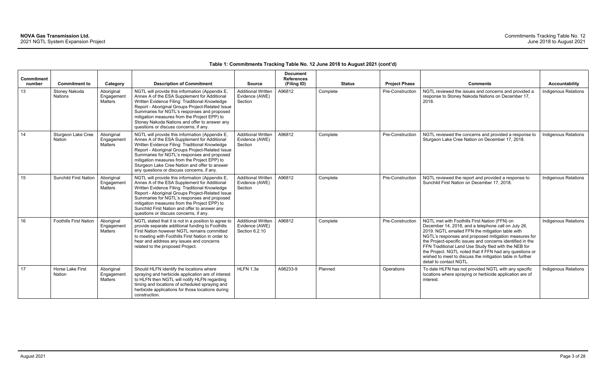| Commitment |                                 |                                     |                                                                                                                                                                                                                                                                                                                                                                                                     |                                                               | <b>Document</b><br><b>References</b> |          |               |                      |                                                                                                                                                                                                                                                                                                                                                                                                                                                                                              |                             |
|------------|---------------------------------|-------------------------------------|-----------------------------------------------------------------------------------------------------------------------------------------------------------------------------------------------------------------------------------------------------------------------------------------------------------------------------------------------------------------------------------------------------|---------------------------------------------------------------|--------------------------------------|----------|---------------|----------------------|----------------------------------------------------------------------------------------------------------------------------------------------------------------------------------------------------------------------------------------------------------------------------------------------------------------------------------------------------------------------------------------------------------------------------------------------------------------------------------------------|-----------------------------|
| number     | <b>Commitment to</b>            | Category                            | <b>Description of Commitment</b>                                                                                                                                                                                                                                                                                                                                                                    | <b>Source</b>                                                 | (Filing ID)                          |          | <b>Status</b> | <b>Project Phase</b> | <b>Comments</b>                                                                                                                                                                                                                                                                                                                                                                                                                                                                              | <b>Accountability</b>       |
| 13         | Stoney Nakoda<br><b>Nations</b> | Aboriginal<br>Engagement<br>Matters | NGTL will provide this information (Appendix E,<br>Annex A of the ESA Supplement for Additional<br>Written Evidence Filing: Traditional Knowledge<br>Report - Aboriginal Groups Project-Related Issue<br>Summaries for NGTL's responses and proposed<br>mitigation measures from the Project EPP) to<br>Stoney Nakoda Nations and offer to answer any<br>questions or discuss concerns, if any.     | <b>Additional Written</b><br>Evidence (AWE)<br>Section        | A96812                               | Complete |               | Pre-Construction     | NGTL reviewed the issues and concerns and provided a<br>response to Stoney Nakoda Nations on December 17,<br>2018.                                                                                                                                                                                                                                                                                                                                                                           | <b>Indigenous Relations</b> |
| 14         | Sturgeon Lake Cree<br>Nation    | Aboriginal<br>Engagement<br>Matters | NGTL will provide this information (Appendix E,<br>Annex A of the ESA Supplement for Additional<br>Written Evidence Filing: Traditional Knowledge<br>Report - Aboriginal Groups Project-Related Issue<br>Summaries for NGTL's responses and proposed<br>mitigation measures from the Project EPP) to<br>Sturgeon Lake Cree Nation and offer to answer<br>any questions or discuss concerns, if any. | <b>Additional Written</b><br>Evidence (AWE)<br>Section        | A96812                               | Complete |               | Pre-Construction     | NGTL reviewed the concerns and provided a response to<br>Sturgeon Lake Cree Nation on December 17, 2018.                                                                                                                                                                                                                                                                                                                                                                                     | <b>Indigenous Relations</b> |
| 15         | <b>Sunchild First Nation</b>    | Aboriginal<br>Engagement<br>Matters | NGTL will provide this information (Appendix E,<br>Annex A of the ESA Supplement for Additional<br>Written Evidence Filing: Traditional Knowledge<br>Report - Aboriginal Groups Project-Related Issue<br>Summaries for NGTL's responses and proposed<br>mitigation measures from the Project EPP) to<br>Sunchild First Nation and offer to answer any<br>questions or discuss concerns, if any.     | <b>Additional Written</b><br>Evidence (AWE)<br>Section        | A96812                               | Complete |               | Pre-Construction     | NGTL reviewed the report and provided a response to<br>Sunchild First Nation on December 17, 2018.                                                                                                                                                                                                                                                                                                                                                                                           | Indigenous Relations        |
| 16         | <b>Foothills First Nation</b>   | Aboriginal<br>Engagement<br>Matters | NGTL stated that it is not in a position to agree to<br>provide separate additional funding to Foothills<br>First Nation however NGTL remains committed<br>to meeting with Foothills First Nation in order to<br>hear and address any issues and concerns<br>related to the proposed Project.                                                                                                       | <b>Additional Written</b><br>Evidence (AWE)<br>Section 6.2.10 | A96812                               | Complete |               | Pre-Construction     | NGTL met with Foothills First Nation (FFN) on<br>December 14, 2018, and a telephone call on July 26,<br>2019. NGTL emailed FFN the mitigation table with<br>NGTL's responses and proposed mitigation measures for<br>the Project-specific issues and concerns identified in the<br>FFN Traditional Land Use Study filed with the NEB for<br>the Project. NGTL noted that if FFN had any questions or<br>wished to meet to discuss the mitigation table in further<br>detail to contact NGTL. | Indigenous Relations        |
| 17         | Horse Lake First<br>Nation      | Aboriginal<br>Engagement<br>Matters | Should HLFN identify the locations where<br>spraying and herbicide application are of interest<br>to HLFN then NGTL will notify HLFN regarding<br>timing and locations of scheduled spraying and<br>herbicide applications for those locations during<br>construction.                                                                                                                              | HLFN 1.3e                                                     | A98233-9                             | Planned  |               | Operations           | To date HLFN has not provided NGTL with any specific<br>locations where spraying or herbicide application are of<br>interest.                                                                                                                                                                                                                                                                                                                                                                | <b>Indigenous Relations</b> |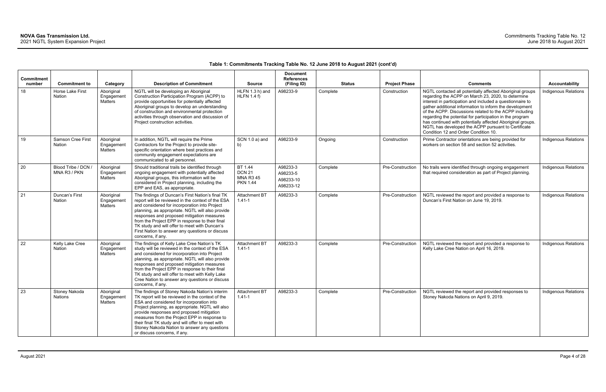| <b>Commitment</b> |                                                    |                                                 |                                                                                                                                                                                                                                                                                                                                                                                                                                      |                                                                 | <b>Document</b><br><b>References</b>           |                           |                                      |                                                                                                                                                                                                                                                                                                                                                                                                                                                                                                                                               |                                               |
|-------------------|----------------------------------------------------|-------------------------------------------------|--------------------------------------------------------------------------------------------------------------------------------------------------------------------------------------------------------------------------------------------------------------------------------------------------------------------------------------------------------------------------------------------------------------------------------------|-----------------------------------------------------------------|------------------------------------------------|---------------------------|--------------------------------------|-----------------------------------------------------------------------------------------------------------------------------------------------------------------------------------------------------------------------------------------------------------------------------------------------------------------------------------------------------------------------------------------------------------------------------------------------------------------------------------------------------------------------------------------------|-----------------------------------------------|
| number<br>18      | <b>Commitment to</b><br>Horse Lake First<br>Nation | Category<br>Aboriginal<br>Engagement<br>Matters | <b>Description of Commitment</b><br>NGTL will be developing an Aboriginal<br>Construction Participation Program (ACPP) to<br>provide opportunities for potentially affected<br>Aboriginal groups to develop an understanding<br>of construction and environmental protection<br>activities through observation and discussion of<br>Project construction activities.                                                                 | <b>Source</b><br>HLFN 1.3 h) and<br><b>HLFN 1.4 f)</b>          | (Filing ID)<br>A98233-9                        | <b>Status</b><br>Complete | <b>Project Phase</b><br>Construction | <b>Comments</b><br>NGTL contacted all potentially affected Aboriginal groups<br>regarding the ACPP on March 23, 2020, to determine<br>interest in participation and included a questionnaire to<br>gather additional information to inform the development<br>of the ACPP. Discussions related to the ACPP including<br>regarding the potential for participation in the program<br>has continued with potentially affected Aboriginal groups.<br>NGTL has developed the ACPP pursuant to Certificate<br>Condition 12 and Order Condition 10. | <b>Accountability</b><br>Indigenous Relations |
| 19                | <b>Samson Cree First</b><br>Nation                 | Aboriginal<br>Engagement<br>Matters             | In addition, NGTL will require the Prime<br>Contractors for the Project to provide site-<br>specific orientation where best practices and<br>community engagement expectations are<br>communicated to all personnel.                                                                                                                                                                                                                 | SCN 1.0 a) and<br>b)                                            | A98233-9                                       | Ongoing                   | Construction                         | Prime Contractor orientations are being provided for<br>workers on section 58 and section 52 activities.                                                                                                                                                                                                                                                                                                                                                                                                                                      | Indigenous Relations                          |
| 20                | Blood Tribe / DCN /<br>MNA R3 / PKN                | Aboriginal<br>Engagement<br>Matters             | Should traditional trails be identified through<br>ongoing engagement with potentially affected<br>Aboriginal groups, this information will be<br>considered in Project planning, including the<br>EPP and EAS, as appropriate.                                                                                                                                                                                                      | BT 1.44<br><b>DCN 21</b><br><b>MNA R3 45</b><br><b>PKN 1.44</b> | A98233-3<br>A98233-5<br>A98233-10<br>A98233-12 | Complete                  | Pre-Construction                     | No trails were identified through ongoing engagement<br>that required consideration as part of Project planning.                                                                                                                                                                                                                                                                                                                                                                                                                              | <b>Indigenous Relations</b>                   |
| 21                | Duncan's First<br><b>Nation</b>                    | Aboriginal<br>Engagement<br>Matters             | The findings of Duncan's First Nation's final TK<br>report will be reviewed in the context of the ESA<br>and considered for incorporation into Project<br>planning, as appropriate. NGTL will also provide<br>responses and proposed mitigation measures<br>from the Project EPP in response to their final<br>TK study and will offer to meet with Duncan's<br>First Nation to answer any questions or discuss<br>concerns, if any. | <b>Attachment BT</b><br>$1.41 - 1$                              | A98233-3                                       | Complete                  | Pre-Construction                     | NGTL reviewed the report and provided a response to<br>Duncan's First Nation on June 19, 2019.                                                                                                                                                                                                                                                                                                                                                                                                                                                | <b>Indigenous Relations</b>                   |
| 22                | Kelly Lake Cree<br>Nation                          | Aboriginal<br>Engagement<br>Matters             | The findings of Kelly Lake Cree Nation's TK<br>study will be reviewed in the context of the ESA<br>and considered for incorporation into Project<br>planning, as appropriate. NGTL will also provide<br>responses and proposed mitigation measures<br>from the Project EPP in response to their final<br>TK study and will offer to meet with Kelly Lake<br>Cree Nation to answer any questions or discuss<br>concerns, if any.      | <b>Attachment BT</b><br>$1.41 - 1$                              | A98233-3                                       | Complete                  | Pre-Construction                     | NGTL reviewed the report and provided a response to<br>Kelly Lake Cree Nation on April 16, 2019.                                                                                                                                                                                                                                                                                                                                                                                                                                              | <b>Indigenous Relations</b>                   |
| 23                | Stoney Nakoda<br><b>Nations</b>                    | Aboriginal<br>Engagement<br>Matters             | The findings of Stoney Nakoda Nation's interim<br>TK report will be reviewed in the context of the<br>ESA and considered for incorporation into<br>Project planning, as appropriate. NGTL will also<br>provide responses and proposed mitigation<br>measures from the Project EPP in response to<br>their final TK study and will offer to meet with<br>Stoney Nakoda Nation to answer any questions<br>or discuss concerns, if any. | Attachment BT<br>$1.41 - 1$                                     | A98233-3                                       | Complete                  | Pre-Construction                     | NGTL reviewed the report and provided responses to<br>Stoney Nakoda Nations on April 9, 2019.                                                                                                                                                                                                                                                                                                                                                                                                                                                 | Indigenous Relations                          |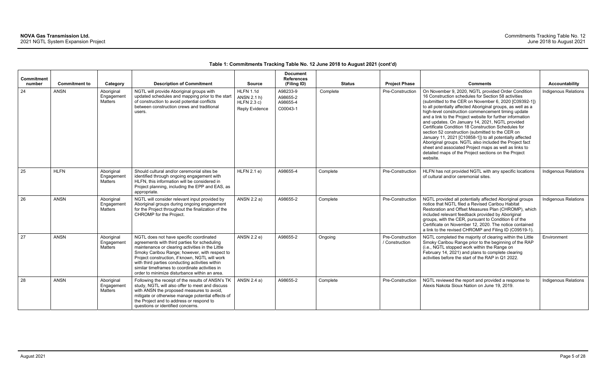| <b>Commitment</b><br>number | <b>Commitment to</b> | Category                            | <b>Description of Commitment</b>                                                                                                                                                                                                                                                                                                                                                                     | <b>Source</b>                                                           | <b>Document</b><br><b>References</b><br>(Filing ID) | <b>Status</b> | <b>Project Phase</b>               | <b>Comments</b>                                                                                                                                                                                                                                                                                                                                                                                                                                                                                                                                                                                                                                                                                                                                                       | <b>Accountability</b>       |
|-----------------------------|----------------------|-------------------------------------|------------------------------------------------------------------------------------------------------------------------------------------------------------------------------------------------------------------------------------------------------------------------------------------------------------------------------------------------------------------------------------------------------|-------------------------------------------------------------------------|-----------------------------------------------------|---------------|------------------------------------|-----------------------------------------------------------------------------------------------------------------------------------------------------------------------------------------------------------------------------------------------------------------------------------------------------------------------------------------------------------------------------------------------------------------------------------------------------------------------------------------------------------------------------------------------------------------------------------------------------------------------------------------------------------------------------------------------------------------------------------------------------------------------|-----------------------------|
| 24                          | <b>ANSN</b>          | Aboriginal<br>Engagement<br>Matters | NGTL will provide Aboriginal groups with<br>updated schedules and mapping prior to the start<br>of construction to avoid potential conflicts<br>between construction crews and traditional<br>users.                                                                                                                                                                                                 | <b>HLFN 1.1d</b><br>ANSN 2.1 h)<br>HLFN 2.3 c)<br><b>Reply Evidence</b> | A98233-9<br>A98655-2<br>A98655-4<br>C00043-1        | Complete      | <b>Pre-Construction</b>            | On November 9, 2020, NGTL provided Order Condition<br>16 Construction schedules for Section 58 activities<br>(submitted to the CER on November 6, 2020 [C09392-1])<br>to all potentially affected Aboriginal groups, as well as a<br>high-level construction commencement timing update<br>and a link to the Project website for further information<br>and updates. On January 14, 2021, NGTL provided<br>Certificate Condition 18 Construction Schedules for<br>section 52 construction (submitted to the CER on<br>January 11, 2021 [C10858-1]) to all potentially affected<br>Aboriginal groups. NGTL also included the Project fact<br>sheet and associated Project maps as well as links to<br>detailed maps of the Project sections on the Project<br>website. | <b>Indigenous Relations</b> |
| 25                          | <b>HLFN</b>          | Aboriginal<br>Engagement<br>Matters | Should cultural and/or ceremonial sites be<br>identified through ongoing engagement with<br>HLFN, this information will be considered in<br>Project planning, including the EPP and EAS, as<br>appropriate.                                                                                                                                                                                          | HLFN 2.1 e)                                                             | A98655-4                                            | Complete      | Pre-Construction                   | HLFN has not provided NGTL with any specific locations<br>of cultural and/or ceremonial sites.                                                                                                                                                                                                                                                                                                                                                                                                                                                                                                                                                                                                                                                                        | Indigenous Relations        |
| 26                          | <b>ANSN</b>          | Aboriginal<br>Engagement<br>Matters | NGTL will consider relevant input provided by<br>Aboriginal groups during ongoing engagement<br>for the Project throughout the finalization of the<br>CHROMP for the Project.                                                                                                                                                                                                                        | ANSN 2.2 a)                                                             | A98655-2                                            | Complete      | Pre-Construction                   | NGTL provided all potentially affected Aboriginal groups<br>notice that NGTL filed a Revised Caribou Habitat<br>Restoration and Offset Measures Plan (CHROMP), which<br>included relevant feedback provided by Aboriginal<br>groups, with the CER, pursuant to Condition 6 of the<br>Certificate on November 12, 2020. The notice contained<br>a link to the revised CHROMP and Filing ID (C09519-1).                                                                                                                                                                                                                                                                                                                                                                 | <b>Indigenous Relations</b> |
| 27                          | <b>ANSN</b>          | Aboriginal<br>Engagement<br>Matters | NGTL does not have specific coordinated<br>agreements with third parties for scheduling<br>maintenance or clearing activities in the Little<br>Smoky Caribou Range; however, with respect to<br>Project construction, if known, NGTL will work<br>with third parties conducting activities within<br>similar timeframes to coordinate activities in<br>order to minimize disturbance within an area. | ANSN 2.2 e)                                                             | A98655-2                                            | Ongoing       | Pre-Construction<br>/ Construction | NGTL completed the majority of clearing within the Little<br>Smoky Caribou Range prior to the beginning of the RAP<br>(i.e., NGTL stopped work within the Range on<br>February 14, 2021) and plans to complete clearing<br>activities before the start of the RAP in Q1 2022.                                                                                                                                                                                                                                                                                                                                                                                                                                                                                         | Environment                 |
| 28                          | <b>ANSN</b>          | Aboriginal<br>Engagement<br>Matters | Following the receipt of the results of ANSN's TK<br>study, NGTL will also offer to meet and discuss<br>with ANSN the proposed measures to avoid,<br>mitigate or otherwise manage potential effects of<br>the Project and to address or respond to<br>questions or identified concerns.                                                                                                              | ANSN 2.4 a)                                                             | A98655-2                                            | Complete      | Pre-Construction                   | NGTL reviewed the report and provided a response to<br>Alexis Nakota Sioux Nation on June 19, 2019.                                                                                                                                                                                                                                                                                                                                                                                                                                                                                                                                                                                                                                                                   | Indigenous Relations        |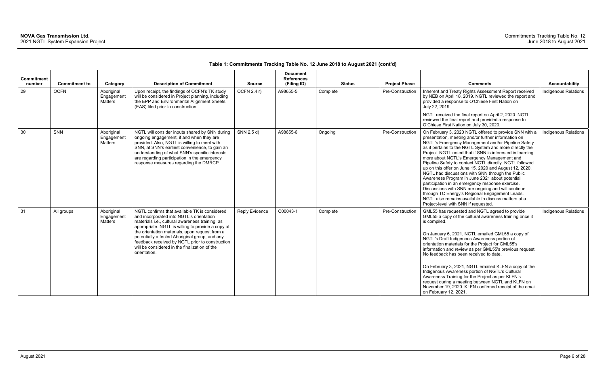| <b>Commitment</b><br>number | <b>Commitment to</b> | Category                            | <b>Description of Commitment</b>                                                                                                                                                                                                                                                                                                                                                                                          | <b>Source</b>         | <b>Document</b><br><b>References</b><br>(Filing ID) |          | <b>Status</b> | <b>Project Phase</b> | <b>Comments</b>                                                                                                                                                                                                                                                                                                                                                                                                                                                                                                                                                                                                                                                                                                                                                                                                                 | Accountability              |
|-----------------------------|----------------------|-------------------------------------|---------------------------------------------------------------------------------------------------------------------------------------------------------------------------------------------------------------------------------------------------------------------------------------------------------------------------------------------------------------------------------------------------------------------------|-----------------------|-----------------------------------------------------|----------|---------------|----------------------|---------------------------------------------------------------------------------------------------------------------------------------------------------------------------------------------------------------------------------------------------------------------------------------------------------------------------------------------------------------------------------------------------------------------------------------------------------------------------------------------------------------------------------------------------------------------------------------------------------------------------------------------------------------------------------------------------------------------------------------------------------------------------------------------------------------------------------|-----------------------------|
| 29                          | <b>OCFN</b>          | Aboriginal<br>Engagement<br>Matters | Upon receipt, the findings of OCFN's TK study<br>will be considered in Project planning, including<br>the EPP and Environmental Alignment Sheets<br>(EAS) filed prior to construction.                                                                                                                                                                                                                                    | OCFN 2.4 r)           | A98655-5                                            | Complete |               | Pre-Construction     | Inherent and Treaty Rights Assessment Report received<br>by NEB on April 18, 2019. NGTL reviewed the report and<br>provided a response to O'Chiese First Nation on<br>July 22, 2019.                                                                                                                                                                                                                                                                                                                                                                                                                                                                                                                                                                                                                                            | <b>Indigenous Relations</b> |
|                             |                      |                                     |                                                                                                                                                                                                                                                                                                                                                                                                                           |                       |                                                     |          |               |                      | NGTL received the final report on April 2, 2020. NGTL<br>reviewed the final report and provided a response to<br>O'Chiese First Nation on July 30, 2020.                                                                                                                                                                                                                                                                                                                                                                                                                                                                                                                                                                                                                                                                        |                             |
| 30                          | SNN                  | Aboriginal<br>Engagement<br>Matters | NGTL will consider inputs shared by SNN during<br>ongoing engagement, if and when they are<br>provided. Also, NGTL is willing to meet with<br>SNN, at SNN's earliest convenience, to gain an<br>understanding of what SNN's specific interests<br>are regarding participation in the emergency<br>response measures regarding the DMRCP.                                                                                  | SNN 2.5 d)            | A98655-6                                            | Ongoing  |               | Pre-Construction     | On February 3, 2020 NGTL offered to provide SNN with a<br>presentation, meeting and/or further information on<br>NGTL's Emergency Management and/or Pipeline Safety<br>as it pertains to the NGTL System and more directly the<br>Project. NGTL noted that if SNN is interested in learning<br>more about NGTL's Emergency Management and<br>Pipeline Safety to contact NGTL directly. NGTL followed<br>up on this offer on June 15, 2020 and August 12, 2020.<br>NGTL had discussions with SNN through the Public<br>Awareness Program in June 2021 about potential<br>participation in an emergency response exercise.<br>Discussions with SNN are ongoing and will continue<br>through TC Energy's Regional Engagement Leads.<br>NGTL also remains available to discuss matters at a<br>Project-level with SNN if requested. | Indigenous Relations        |
| 31                          | All groups           | Aboriginal<br>Engagement<br>Matters | NGTL confirms that available TK is considered<br>and incorporated into NGTL's orientation<br>materials i.e., cultural awareness training, as<br>appropriate. NGTL is willing to provide a copy of<br>the orientation materials, upon request from a<br>potentially affected Aboriginal group, and any<br>feedback received by NGTL prior to construction<br>will be considered in the finalization of the<br>orientation. | <b>Reply Evidence</b> | C00043-1                                            | Complete |               | Pre-Construction     | GML55 has requested and NGTL agreed to provide<br>GML55 a copy of the cultural awareness training once it<br>is compiled.<br>On January 6, 2021, NGTL emailed GML55 a copy of<br>NGTL's Draft Indigenous Awareness portion of<br>orientation materials for the Project for GML55's<br>information and review as per GML55's previous request.<br>No feedback has been received to date.<br>On February 3, 2021, NGTL emailed KLFN a copy of the<br>Indigenous Awareness portion of NGTL's Cultural<br>Awareness Training for the Project as per KLFN's<br>request during a meeting between NGTL and KLFN on<br>November 19, 2020. KLFN confirmed receipt of the email<br>on February 12, 2021.                                                                                                                                  | <b>Indigenous Relations</b> |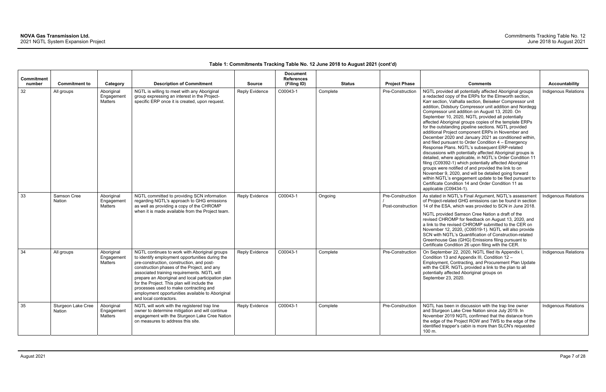| Commitment<br>number | <b>Commitment to</b>         | Category                                   | <b>Description of Commitment</b>                                                                                                                                                                                                                                                                                                                                                                                                                                         | <b>Source</b>         | <b>Document</b><br><b>References</b><br>(Filing ID) | <b>Status</b> | <b>Project Phase</b>                  | <b>Comments</b>                                                                                                                                                                                                                                                                                                                                                                                                                                                                                                                                                                                                                                                                                                                                                                                                                                                                                                                                                                                                                                                                                                                         | <b>Accountability</b>       |
|----------------------|------------------------------|--------------------------------------------|--------------------------------------------------------------------------------------------------------------------------------------------------------------------------------------------------------------------------------------------------------------------------------------------------------------------------------------------------------------------------------------------------------------------------------------------------------------------------|-----------------------|-----------------------------------------------------|---------------|---------------------------------------|-----------------------------------------------------------------------------------------------------------------------------------------------------------------------------------------------------------------------------------------------------------------------------------------------------------------------------------------------------------------------------------------------------------------------------------------------------------------------------------------------------------------------------------------------------------------------------------------------------------------------------------------------------------------------------------------------------------------------------------------------------------------------------------------------------------------------------------------------------------------------------------------------------------------------------------------------------------------------------------------------------------------------------------------------------------------------------------------------------------------------------------------|-----------------------------|
| 32                   | All groups                   | Aboriginal<br>Engagement<br>Matters        | NGTL is willing to meet with any Aboriginal<br>group expressing an interest in the Project-<br>specific ERP once it is created, upon request.                                                                                                                                                                                                                                                                                                                            | <b>Reply Evidence</b> | C00043-1                                            | Complete      | Pre-Construction                      | NGTL provided all potentially affected Aboriginal groups<br>a redacted copy of the ERPs for the Elmworth section,<br>Karr section, Valhalla section, Beiseker Compressor unit<br>addition, Didsbury Compressor unit addition and Nordegg<br>Compressor unit addition on August 13, 2020. On<br>September 10, 2020, NGTL provided all potentially<br>affected Aboriginal groups copies of the template ERPs<br>for the outstanding pipeline sections. NGTL provided<br>additional Project component ERPs in November and<br>December 2020 and January 2021 as conditioned within,<br>and filed pursuant to Order Condition 4 - Emergency<br>Response Plans. NGTL's subsequent ERP-related<br>discussions with potentially affected Aboriginal groups is<br>detailed, where applicable, in NGTL's Order Condition 11<br>filing (C09392-1) which potentially affected Aboriginal<br>groups were notified of and provided the link to on<br>November 9, 2020, and will be detailed going forward<br>within NGTL's engagement update to be filed pursuant to<br>Certificate Condition 14 and Order Condition 11 as<br>applicable (C09434-1). | <b>Indigenous Relations</b> |
| 33                   | Samson Cree<br>Nation        | Aboriginal<br>Engagement<br>Matters        | NGTL committed to providing SCN information<br>regarding NGTL's approach to GHG emissions<br>as well as providing a copy of the CHROMP<br>when it is made available from the Project team.                                                                                                                                                                                                                                                                               | <b>Reply Evidence</b> | C00043-1                                            | Ongoing       | Pre-Construction<br>Post-construction | As stated in NGTL's Final Argument, NGTL's assessment<br>of Project-related GHG emissions can be found in section<br>14 of the ESA, which was provided to SCN in June 2018.<br>NGTL provided Samson Cree Nation a draft of the<br>revised CHROMP for feedback on August 13, 2020, and<br>a link to the revised CHROMP submitted to the CER on<br>November 12, 2020, (C09519-1). NGTL will also provide<br>SCN with NGTL's Quantification of Construction-related<br>Greenhouse Gas (GHG) Emissions filing pursuant to<br>Certificate Condition 26 upon filing with the CER.                                                                                                                                                                                                                                                                                                                                                                                                                                                                                                                                                             | Indigenous Relations        |
| 34                   | All groups                   | Aboriginal<br>Engagement<br><b>Matters</b> | NGTL continues to work with Aboriginal groups<br>to identify employment opportunities during the<br>pre-construction, construction, and post-<br>construction phases of the Project, and any<br>associated training requirements. NGTL will<br>prepare an Aboriginal and local participation plan<br>for the Project. This plan will include the<br>processes used to make contracting and<br>employment opportunities available to Aboriginal<br>and local contractors. | <b>Reply Evidence</b> | C00043-1                                            | Complete      | Pre-Construction                      | On September 22, 2020, NGTL filed its Appendix I,<br>Condition 13 and Appendix III, Condition 12 -<br>Employment, Contracting, and Procurement Plan Update<br>with the CER. NGTL provided a link to the plan to all<br>potentially affected Aboriginal groups on<br>September 23, 2020.                                                                                                                                                                                                                                                                                                                                                                                                                                                                                                                                                                                                                                                                                                                                                                                                                                                 | <b>Indigenous Relations</b> |
| 35                   | Sturgeon Lake Cree<br>Nation | Aboriginal<br>Engagement<br>Matters        | NGTL will work with the registered trap line<br>owner to determine mitigation and will continue<br>engagement with the Sturgeon Lake Cree Nation<br>on measures to address this site.                                                                                                                                                                                                                                                                                    | <b>Reply Evidence</b> | C00043-1                                            | Complete      | Pre-Construction                      | NGTL has been in discussion with the trap line owner<br>and Sturgeon Lake Cree Nation since July 2019. In<br>November 2019 NGTL confirmed that the distance from<br>the edge of the Project ROW and TWS to the edge of the<br>identified trapper's cabin is more than SLCN's requested<br>100 m.                                                                                                                                                                                                                                                                                                                                                                                                                                                                                                                                                                                                                                                                                                                                                                                                                                        | Indigenous Relations        |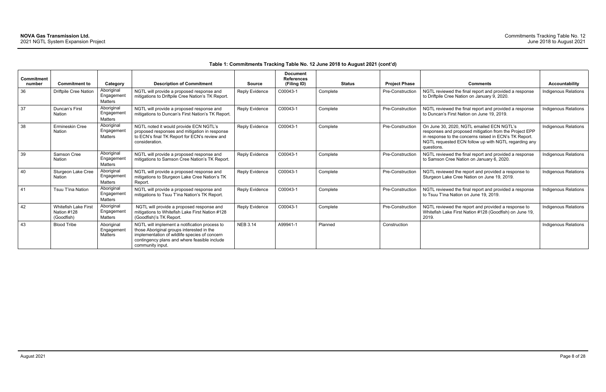| <b>Commitment</b> |                                                          |                                            |                                                                                                                                                                                                                 |                       | <b>Document</b><br><b>References</b> |               |                         |                                                                                                                                                                                                                                     |                             |
|-------------------|----------------------------------------------------------|--------------------------------------------|-----------------------------------------------------------------------------------------------------------------------------------------------------------------------------------------------------------------|-----------------------|--------------------------------------|---------------|-------------------------|-------------------------------------------------------------------------------------------------------------------------------------------------------------------------------------------------------------------------------------|-----------------------------|
| number            | <b>Commitment to</b>                                     | Category                                   | <b>Description of Commitment</b>                                                                                                                                                                                | <b>Source</b>         | (Filing ID)                          | <b>Status</b> | <b>Project Phase</b>    | <b>Comments</b>                                                                                                                                                                                                                     | <b>Accountability</b>       |
| 36                | <b>Driftpile Cree Nation</b>                             | Aboriginal<br>Engagement<br><b>Matters</b> | NGTL will provide a proposed response and<br>mitigations to Driftpile Cree Nation's TK Report.                                                                                                                  | <b>Reply Evidence</b> | C00043-1                             | Complete      | <b>Pre-Construction</b> | NGTL reviewed the final report and provided a response<br>to Driftpile Cree Nation on January 9, 2020.                                                                                                                              | <b>Indigenous Relations</b> |
| 37                | Duncan's First<br>Nation                                 | Aboriginal<br>Engagement<br><b>Matters</b> | NGTL will provide a proposed response and<br>mitigations to Duncan's First Nation's TK Report.                                                                                                                  | <b>Reply Evidence</b> | C00043-1                             | Complete      | Pre-Construction        | NGTL reviewed the final report and provided a response<br>to Duncan's First Nation on June 19, 2019.                                                                                                                                | Indigenous Relations        |
| 38                | Ermineskin Cree<br>Nation                                | Aboriginal<br>Engagement<br>Matters        | NGTL noted it would provide ECN NGTL's<br>proposed responses and mitigation in response<br>to ECN's final TK Report for ECN's review and<br>consideration.                                                      | <b>Reply Evidence</b> | C00043-1                             | Complete      | Pre-Construction        | On June 30, 2020, NGTL emailed ECN NGTL's<br>responses and proposed mitigation from the Project EPP<br>in response to the concerns raised in ECN's TK Report.<br>NGTL requested ECN follow up with NGTL regarding any<br>questions. | <b>Indigenous Relations</b> |
| 39                | Samson Cree<br>Nation                                    | Aboriginal<br>Engagement<br><b>Matters</b> | NGTL will provide a proposed response and<br>mitigations to Samson Cree Nation's TK Report.                                                                                                                     | <b>Reply Evidence</b> | C00043-1                             | Complete      | Pre-Construction        | NGTL reviewed the final report and provided a response<br>to Samson Cree Nation on January 6, 2020.                                                                                                                                 | <b>Indigenous Relations</b> |
| 40                | Sturgeon Lake Cree<br>Nation                             | Aboriginal<br>Engagement<br>Matters        | NGTL will provide a proposed response and<br>mitigations to Sturgeon Lake Cree Nation's TK<br>Report.                                                                                                           | <b>Reply Evidence</b> | C00043-1                             | Complete      | Pre-Construction        | NGTL reviewed the report and provided a response to<br>Sturgeon Lake Cree Nation on June 19, 2019.                                                                                                                                  | <b>Indigenous Relations</b> |
| 41                | Tsuu T'ina Nation                                        | Aboriginal<br>Engagement<br><b>Matters</b> | NGTL will provide a proposed response and<br>mitigations to Tsuu T'ina Nation's TK Report.                                                                                                                      | <b>Reply Evidence</b> | C00043-1                             | Complete      | Pre-Construction        | NGTL reviewed the final report and provided a response<br>to Tsuu T'ina Nation on June 19, 2019.                                                                                                                                    | <b>Indigenous Relations</b> |
| 42                | <b>Whitefish Lake First</b><br>Nation #128<br>(Goodfish) | Aboriginal<br>Engagement<br>Matters        | NGTL will provide a proposed response and<br>mitigations to Whitefish Lake First Nation #128<br>(Goodfish)'s TK Report.                                                                                         | <b>Reply Evidence</b> | C00043-1                             | Complete      | Pre-Construction        | NGTL reviewed the report and provided a response to<br>Whitefish Lake First Nation #128 (Goodfish) on June 19,<br>2019.                                                                                                             | <b>Indigenous Relations</b> |
| 43                | <b>Blood Tribe</b>                                       | Aboriginal<br>Engagement<br><b>Matters</b> | NGTL will implement a notification process to<br>those Aboriginal groups interested in the<br>implementation of wildlife species of concern<br>contingency plans and where feasible include<br>community input. | <b>NEB 3.14</b>       | A99941-1                             | Planned       | Construction            |                                                                                                                                                                                                                                     | Indigenous Relations        |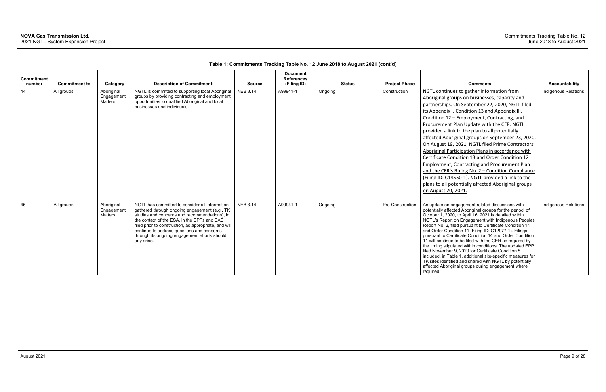| <b>Commitment</b><br>number | <b>Commitment to</b> | Category                            | <b>Description of Commitment</b>                                                                                                                                                                                                                                                                                                                                      | <b>Source</b>   | <b>Document</b><br><b>References</b><br>(Filing ID) | <b>Status</b> | <b>Project Phase</b> | <b>Comments</b>                                                                                                                                                                                                                                                                                                                                                                                                                                                                                                                                                                                                                                                                                                                                                                                           | <b>Accountability</b> |
|-----------------------------|----------------------|-------------------------------------|-----------------------------------------------------------------------------------------------------------------------------------------------------------------------------------------------------------------------------------------------------------------------------------------------------------------------------------------------------------------------|-----------------|-----------------------------------------------------|---------------|----------------------|-----------------------------------------------------------------------------------------------------------------------------------------------------------------------------------------------------------------------------------------------------------------------------------------------------------------------------------------------------------------------------------------------------------------------------------------------------------------------------------------------------------------------------------------------------------------------------------------------------------------------------------------------------------------------------------------------------------------------------------------------------------------------------------------------------------|-----------------------|
| 44                          | All groups           | Aboriginal<br>Engagement<br>Matters | NGTL is committed to supporting local Aboriginal<br>groups by providing contracting and employment<br>opportunities to qualified Aboriginal and local<br>businesses and individuals.                                                                                                                                                                                  | <b>NEB 3.14</b> | A99941-1                                            | Ongoing       | Construction         | NGTL continues to gather information from<br>Aboriginal groups on businesses, capacity and<br>partnerships. On September 22, 2020, NGTL filed<br>its Appendix I, Condition 13 and Appendix III,<br>Condition 12 - Employment, Contracting, and<br>Procurement Plan Update with the CER. NGTL<br>provided a link to the plan to all potentially<br>affected Aboriginal groups on September 23, 2020.<br>On August 19, 2021, NGTL filed Prime Contractors'<br>Aboriginal Participation Plans in accordance with<br>Certificate Condition 13 and Order Condition 12<br>Employment, Contracting and Procurement Plan<br>and the CER's Ruling No. 2 - Condition Compliance<br>(Filing ID: C14550-1). NGTL provided a link to the<br>plans to all potentially affected Aboriginal groups<br>on August 20, 2021. | Indigenous Relations  |
| 45                          | All groups           | Aboriginal<br>Engagement<br>Matters | NGTL has committed to consider all information<br>gathered through ongoing engagement (e.g., TK<br>studies and concerns and recommendations), in<br>the context of the ESA, in the EPPs and EAS<br>filed prior to construction, as appropriate, and will<br>continue to address questions and concerns<br>through its ongoing engagement efforts should<br>any arise. | <b>NEB 3.14</b> | A99941-1                                            | Ongoing       | Pre-Construction     | An update on engagement related discussions with<br>potentially affected Aboriginal groups for the period of<br>October 1, 2020, to April 16, 2021 is detailed within<br>NGTL's Report on Engagement with Indigenous Peoples<br>Report No. 2, filed pursuant to Certificate Condition 14<br>and Order Condition 11 (Filing ID: C12977-1). Filings<br>pursuant to Certificate Condition 14 and Order Condition<br>11 will continue to be filed with the CER as required by<br>the timing stipulated within conditions. The updated EPP<br>filed November 9, 2020 for Certificate Condition 5<br>included, in Table 1, additional site-specific measures for<br>TK sites identified and shared with NGTL by potentially<br>affected Aboriginal groups during engagement where<br>required.                  | Indigenous Relations  |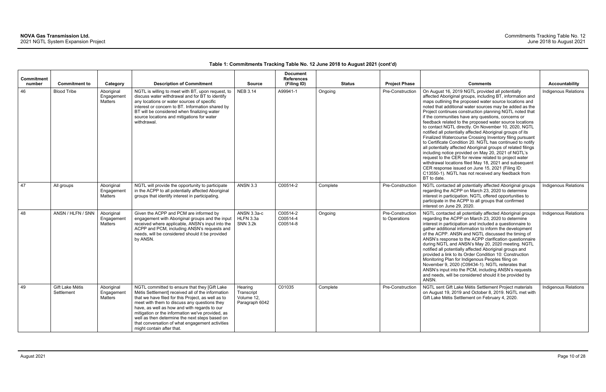| <b>Commitment</b><br>number | <b>Commitment to</b>          | Category                            | <b>Description of Commitment</b>                                                                                                                                                                                                                                                                                                                                                                                                               | <b>Source</b>                                         | <b>Document</b><br><b>References</b><br>(Filing ID) |          | <b>Status</b> | <b>Project Phase</b>              | <b>Comments</b>                                                                                                                                                                                                                                                                                                                                                                                                                                                                                                                                                                                                                                                                                                                                                                                                                                                                                                                                                                                                                    | <b>Accountability</b>       |
|-----------------------------|-------------------------------|-------------------------------------|------------------------------------------------------------------------------------------------------------------------------------------------------------------------------------------------------------------------------------------------------------------------------------------------------------------------------------------------------------------------------------------------------------------------------------------------|-------------------------------------------------------|-----------------------------------------------------|----------|---------------|-----------------------------------|------------------------------------------------------------------------------------------------------------------------------------------------------------------------------------------------------------------------------------------------------------------------------------------------------------------------------------------------------------------------------------------------------------------------------------------------------------------------------------------------------------------------------------------------------------------------------------------------------------------------------------------------------------------------------------------------------------------------------------------------------------------------------------------------------------------------------------------------------------------------------------------------------------------------------------------------------------------------------------------------------------------------------------|-----------------------------|
| 46                          | <b>Blood Tribe</b>            | Aboriginal<br>Engagement<br>Matters | NGTL is willing to meet with BT, upon request, to<br>discuss water withdrawal and for BT to identify<br>any locations or water sources of specific<br>interest or concern to BT. Information shared by<br>BT will be considered when finalizing water<br>source locations and mitigations for water<br>withdrawal.                                                                                                                             | <b>NEB 3.14</b>                                       | A99941-1                                            | Ongoing  |               | Pre-Construction                  | On August 16, 2019 NGTL provided all potentially<br>affected Aboriginal groups, including BT, information and<br>maps outlining the proposed water source locations and<br>noted that additional water sources may be added as the<br>Project continues construction planning NGTL noted that<br>if the communities have any questions, concerns or<br>feedback related to the proposed water source locations<br>to contact NGTL directly. On November 10, 2020, NGTL<br>notified all potentially affected Aboriginal groups of its<br>Finalized Watercourse Crossing Inventory filing pursuant<br>to Certificate Condition 20. NGTL has continued to notify<br>all potentially affected Aboriginal groups of related filings<br>including notice provided on May 20, 2021 of NGTL's<br>request to the CER for review related to project water<br>withdrawal locations filed May 18, 2021 and subsequent<br>CER response issued on June 15, 2021 (Filing ID:<br>C13550-1). NGTL has not received any feedback from<br>BT to date. | Indigenous Relations        |
| 47                          | All groups                    | Aboriginal<br>Engagement<br>Matters | NGTL will provide the opportunity to participate<br>in the ACPP to all potentially affected Aboriginal<br>groups that identify interest in participating.                                                                                                                                                                                                                                                                                      | <b>ANSN 3.3</b>                                       | C00514-2                                            | Complete |               | Pre-Construction                  | NGTL contacted all potentially affected Aboriginal groups<br>regarding the ACPP on March 23, 2020 to determine<br>interest in participation. NGTL offered opportunities to<br>participate in the ACPP to all groups that confirmed<br>interest on June 29, 2020.                                                                                                                                                                                                                                                                                                                                                                                                                                                                                                                                                                                                                                                                                                                                                                   | Indigenous Relations        |
| 48                          | ANSN / HLFN / SNN             | Aboriginal<br>Engagement<br>Matters | Given the ACPP and PCM are informed by<br>engagement with Aboriginal groups and the input<br>received where applicable, ANSN's input into the<br>ACPP and PCM, including ANSN's requests and<br>needs, will be considered should it be provided<br>by ANSN.                                                                                                                                                                                    | ANSN 3.3a-c<br>HLFN 3.3a<br><b>SNN 3.2k</b>           | C00514-2<br>C00514-4<br>C00514-8                    | Ongoing  |               | Pre-Construction<br>to Operations | NGTL contacted all potentially affected Aboriginal groups<br>regarding the ACPP on March 23, 2020 to determine<br>interest in participation and included a questionnaire to<br>gather additional information to inform the development<br>of the ACPP. ANSN and NGTL discussed the timing of<br>ANSN's response to the ACPP clarification questionnaire<br>during NGTL and ANSN's May 20, 2020 meeting. NGTL<br>notified all potentially affected Aboriginal groups and<br>provided a link to its Order Condition 10: Construction<br>Monitoring Plan for Indigenous Peoples filing on<br>November 9, 2020 (C09434-1). NGTL reiterates that<br>ANSN's input into the PCM, including ANSN's requests<br>and needs, will be considered should it be provided by<br>ANSN.                                                                                                                                                                                                                                                             | <b>Indigenous Relations</b> |
| 49                          | Gift Lake Métis<br>Settlement | Aboriginal<br>Engagement<br>Matters | NGTL committed to ensure that they [Gift Lake<br>Métis Settlement] received all of the information<br>that we have filed for this Project, as well as to<br>meet with them to discuss any questions they<br>have, as well as how and with regards to our<br>mitigation or the information we've provided, as<br>well as then determine the next steps based on<br>that conversation of what engagement activities<br>might contain after that. | Hearing<br>Transcript<br>Volume 12,<br>Paragraph 6042 | C01035                                              | Complete |               | Pre-Construction                  | NGTL sent Gift Lake Métis Settlement Project materials<br>on August 19, 2019 and October 8, 2019. NGTL met with<br>Gift Lake Métis Settlement on February 4, 2020.                                                                                                                                                                                                                                                                                                                                                                                                                                                                                                                                                                                                                                                                                                                                                                                                                                                                 | Indigenous Relations        |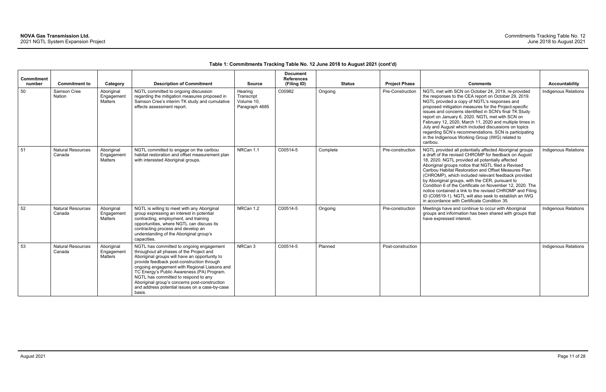| <b>Commitment</b><br>number | <b>Commitment to</b>               | Category                                   | <b>Description of Commitment</b>                                                                                                                                                                                                                                                                                                                                                                                                        | <b>Source</b>                                         | <b>Document</b><br><b>References</b><br>(Filing ID) |          | <b>Status</b> | <b>Project Phase</b> | <b>Comments</b>                                                                                                                                                                                                                                                                                                                                                                                                                                                                                                                                                                                                                | <b>Accountability</b>       |
|-----------------------------|------------------------------------|--------------------------------------------|-----------------------------------------------------------------------------------------------------------------------------------------------------------------------------------------------------------------------------------------------------------------------------------------------------------------------------------------------------------------------------------------------------------------------------------------|-------------------------------------------------------|-----------------------------------------------------|----------|---------------|----------------------|--------------------------------------------------------------------------------------------------------------------------------------------------------------------------------------------------------------------------------------------------------------------------------------------------------------------------------------------------------------------------------------------------------------------------------------------------------------------------------------------------------------------------------------------------------------------------------------------------------------------------------|-----------------------------|
| 50                          | Samson Cree<br>Nation              | Aboriginal<br>Engagement<br>Matters        | NGTL committed to ongoing discussion<br>regarding the mitigation measures proposed in<br>Samson Cree's interim TK study and cumulative<br>effects assessment report.                                                                                                                                                                                                                                                                    | Hearing<br>Transcript<br>Volume 10,<br>Paragraph 4685 | C00982                                              | Ongoing  |               | Pre-Construction     | NGTL met with SCN on October 24, 2019, re-provided<br>the responses to the CEA report on October 29, 2019.<br>NGTL provided a copy of NGTL's responses and<br>proposed mitigation measures for the Project-specific<br>issues and concerns identified in SCN's final TK Study<br>report on January 6, 2020. NGTL met with SCN on<br>February 12, 2020, March 11, 2020 and multiple times in<br>July and August which included discussions on topics<br>regarding SCN's recommendations. SCN is participating<br>in the Indigenous Working Group (IWG) related to<br>caribou.                                                   | <b>Indigenous Relations</b> |
| 51                          | <b>Natural Resources</b><br>Canada | Aboriginal<br>Engagement<br><b>Matters</b> | NGTL committed to engage on the caribou<br>habitat restoration and offset measurement plan<br>with interested Aboriginal groups.                                                                                                                                                                                                                                                                                                        | NRCan 1.1                                             | C00514-5                                            | Complete |               | Pre-construction     | NGTL provided all potentially affected Aboriginal groups<br>a draft of the revised CHROMP for feedback on August<br>18, 2020. NGTL provided all potentially affected<br>Aboriginal groups notice that NGTL filed a Revised<br>Caribou Habitat Restoration and Offset Measures Plan<br>(CHROMP), which included relevant feedback provided<br>by Aboriginal groups, with the CER, pursuant to<br>Condition 6 of the Certificate on November 12, 2020. The<br>notice contained a link to the revised CHROMP and Filing<br>ID (C09519-1). NGTL will also seek to establish an IWG<br>in accordance with Certificate Condition 35. | <b>Indigenous Relations</b> |
| 52                          | <b>Natural Resources</b><br>Canada | Aboriginal<br>Engagement<br>Matters        | NGTL is willing to meet with any Aboriginal<br>group expressing an interest in potential<br>contracting, employment, and training<br>opportunities, where NGTL can discuss its<br>contracting process and develop an<br>understanding of the Aboriginal group's<br>capacities.                                                                                                                                                          | NRCan 1.2                                             | C00514-5                                            | Ongoing  |               | Pre-construction     | Meetings have and continue to occur with Aboriginal<br>groups and information has been shared with groups that<br>have expressed interest.                                                                                                                                                                                                                                                                                                                                                                                                                                                                                     | Indigenous Relations        |
| 53                          | <b>Natural Resources</b><br>Canada | Aboriginal<br>Engagement<br><b>Matters</b> | NGTL has committed to ongoing engagement<br>throughout all phases of the Project and<br>Aboriginal groups will have an opportunity to<br>provide feedback post-construction through<br>ongoing engagement with Regional Liaisons and<br>TC Energy's Public Awareness (PA) Program.<br>NGTL has committed to respond to any<br>Aboriginal group's concerns post-construction<br>and address potential issues on a case-by-case<br>basis. | NRCan 3                                               | C00514-5                                            | Planned  |               | Post-construction    |                                                                                                                                                                                                                                                                                                                                                                                                                                                                                                                                                                                                                                | <b>Indigenous Relations</b> |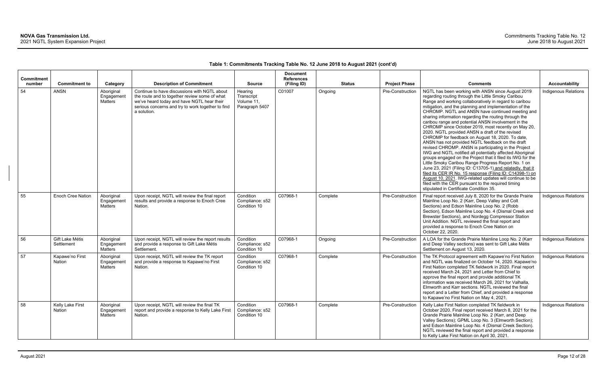| Commitment<br>number | <b>Commitment to</b>          | Category                            | <b>Description of Commitment</b>                                                                                                                                                                                | <b>Source</b>                                         | <b>Document</b><br><b>References</b><br>(Filing ID) |          | <b>Status</b> | <b>Project Phase</b> | <b>Comments</b>                                                                                                                                                                                                                                                                                                                                                                                                                                                                                                                                                                                                                                                                                                                                                                                                                                                                                                                                                                                                                                                                                                                                      | <b>Accountability</b> |
|----------------------|-------------------------------|-------------------------------------|-----------------------------------------------------------------------------------------------------------------------------------------------------------------------------------------------------------------|-------------------------------------------------------|-----------------------------------------------------|----------|---------------|----------------------|------------------------------------------------------------------------------------------------------------------------------------------------------------------------------------------------------------------------------------------------------------------------------------------------------------------------------------------------------------------------------------------------------------------------------------------------------------------------------------------------------------------------------------------------------------------------------------------------------------------------------------------------------------------------------------------------------------------------------------------------------------------------------------------------------------------------------------------------------------------------------------------------------------------------------------------------------------------------------------------------------------------------------------------------------------------------------------------------------------------------------------------------------|-----------------------|
| 54                   | <b>ANSN</b>                   | Aboriginal<br>Engagement<br>Matters | Continue to have discussions with NGTL about<br>the route and to together review some of what<br>we've heard today and have NGTL hear their<br>serious concerns and try to work together to find<br>a solution. | Hearing<br>Transcript<br>Volume 11,<br>Paragraph 5407 | C01007                                              | Ongoing  |               | Pre-Construction     | NGTL has been working with ANSN since August 2019<br>regarding routing through the Little Smoky Caribou<br>Range and working collaboratively in regard to caribou<br>mitigation, and the planning and implementation of the<br>CHROMP. NGTL and ANSN have continued meeting and<br>sharing information regarding the routing through the<br>caribou range and potential ANSN involvement in the<br>CHROMP since October 2019, most recently on May 20,<br>2020. NGTL provided ANSN a draft of the revised<br>CHROMP for feedback on August 18, 2020. To date,<br>ANSN has not provided NGTL feedback on the draft<br>revised CHROMP. ANSN is participating in the Project<br>IWG and NGTL notified all potentially affected Aboriginal<br>groups engaged on the Project that it filed its IWG for the<br>Little Smoky Caribou Range Progress Report No. 1 on<br>June 23, 2021 (Filing ID: C13705-1) and relatedly, that it<br>filed its CER IR No. 15 response (Filing ID: C14398-1) on<br>August 10, 2021. IWG-related updates will continue to be<br>filed with the CER pursuant to the required timing<br>stipulated in Certificate Condition 35. | Indigenous Relations  |
| 55                   | Enoch Cree Nation             | Aboriginal<br>Engagement<br>Matters | Upon receipt, NGTL will review the final report<br>results and provide a response to Enoch Cree<br>Nation.                                                                                                      | Condition<br>Compliance: s52<br>Condition 10          | C07968-1                                            | Complete |               | Pre-Construction     | Final report received July 8, 2020 for the Grande Prairie<br>Mainline Loop No. 2 (Karr, Deep Valley and Colt<br>Sections) and Edson Mainline Loop No. 2 (Robb<br>Section), Edson Mainline Loop No. 4 (Dismal Creek and<br>Brewster Sections), and Nordegg Compressor Station<br>Unit Addition. NGTL reviewed the final report and<br>provided a response to Enoch Cree Nation on<br>October 22, 2020.                                                                                                                                                                                                                                                                                                                                                                                                                                                                                                                                                                                                                                                                                                                                                | Indigenous Relations  |
| 56                   | Gift Lake Métis<br>Settlement | Aboriginal<br>Engagement<br>Matters | Upon receipt, NGTL will review the report results<br>and provide a response to Gift Lake Métis<br>Settlement.                                                                                                   | Condition<br>Compliance: s52<br>Condition 10          | C07968-1                                            | Ongoing  |               | Pre-Construction     | A LOA for the Grande Prairie Mainline Loop No. 2 (Karr<br>and Deep Valley sections) was sent to Gift Lake Métis<br>Settlement on August 13, 2020.                                                                                                                                                                                                                                                                                                                                                                                                                                                                                                                                                                                                                                                                                                                                                                                                                                                                                                                                                                                                    | Indigenous Relations  |
| 57                   | Kapawe'no First<br>Nation     | Aboriginal<br>Engagemen<br>Matters  | Upon receipt, NGTL will review the TK report<br>and provide a response to Kapawe'no First<br>Nation.                                                                                                            | Condition<br>Compliance: s52<br>Condition 10          | C07968-1                                            | Complete |               | Pre-Construction     | The TK Protocol agreement with Kapawe'no First Nation<br>and NGTL was finalized on October 14, 2020. Kapawe'no<br>First Nation completed TK fieldwork in 2020. Final report<br>received March 24, 2021 and Letter from Chief to<br>approve the final report and provide additional TK<br>information was received March 26, 2021 for Valhalla,<br>Elmworth and Karr sections. NGTL reviewed the final<br>report and a Letter from Chief, and provided a response<br>to Kapawe'no First Nation on May 4, 2021.                                                                                                                                                                                                                                                                                                                                                                                                                                                                                                                                                                                                                                        | Indigenous Relations  |
| 58                   | Kelly Lake First<br>Nation    | Aboriginal<br>Engagement<br>Matters | Upon receipt, NGTL will review the final TK<br>report and provide a response to Kelly Lake First<br>Nation.                                                                                                     | Condition<br>Compliance: s52<br>Condition 10          | C07968-1                                            | Complete |               | Pre-Construction     | Kelly Lake First Nation completed TK fieldwork in<br>October 2020. Final report received March 8, 2021 for the<br>Grande Prairie Mainline Loop No. 2 (Karr, and Deep<br>Valley Sections); GPML Loop No. 3 (Elmworth Section);<br>and Edson Mainline Loop No. 4 (Dismal Creek Section).<br>NGTL reviewed the final report and provided a response<br>to Kelly Lake First Nation on April 30, 2021.                                                                                                                                                                                                                                                                                                                                                                                                                                                                                                                                                                                                                                                                                                                                                    | Indigenous Relations  |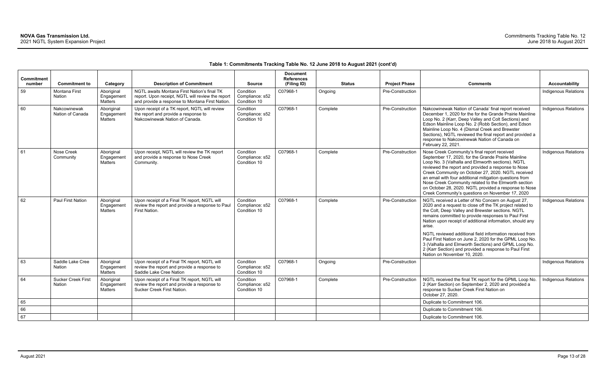| <b>Commitment</b><br>number | <b>Commitment to</b>                       | Category                                   | <b>Description of Commitment</b>                                                                                                                    | <b>Source</b>                                | <b>Document</b><br><b>References</b><br>(Filing ID) |          | <b>Status</b> | <b>Project Phase</b>    | <b>Comments</b>                                                                                                                                                                                                                                                                                                                                                                                                                                                                                       | <b>Accountability</b>       |
|-----------------------------|--------------------------------------------|--------------------------------------------|-----------------------------------------------------------------------------------------------------------------------------------------------------|----------------------------------------------|-----------------------------------------------------|----------|---------------|-------------------------|-------------------------------------------------------------------------------------------------------------------------------------------------------------------------------------------------------------------------------------------------------------------------------------------------------------------------------------------------------------------------------------------------------------------------------------------------------------------------------------------------------|-----------------------------|
| 59                          | <b>Montana First</b><br>Nation             | Aboriginal<br>Engagement<br><b>Matters</b> | NGTL awaits Montana First Nation's final TK<br>report. Upon receipt, NGTL will review the report<br>and provide a response to Montana First Nation. | Condition<br>Compliance: s52<br>Condition 10 | C07968-1                                            | Ongoing  |               | Pre-Construction        |                                                                                                                                                                                                                                                                                                                                                                                                                                                                                                       | Indigenous Relations        |
| 60                          | Nakcowinewak<br>Nation of Canada           | Aboriginal<br>Engagement<br><b>Matters</b> | Upon receipt of a TK report, NGTL will review<br>the report and provide a response to<br>Nakcowinewak Nation of Canada.                             | Condition<br>Compliance: s52<br>Condition 10 | C07968-1                                            | Complete |               | Pre-Construction        | Nakcowinewak Nation of Canada' final report received<br>December 1, 2020 for the for the Grande Prairie Mainline<br>Loop No. 2 (Karr, Deep Valley and Colt Sections) and<br>Edson Mainline Loop No. 2 (Robb Section), and Edson<br>Mainline Loop No. 4 (Dismal Creek and Brewster<br>Sections), NGTL reviewed the final report and provided a<br>response to Nakcowinewak Nation of Canada on<br>February 22, 2021.                                                                                   | <b>Indigenous Relations</b> |
| 61                          | Nose Creek<br>Community                    | Aboriginal<br>Engagement<br>Matters        | Upon receipt, NGTL will review the TK report<br>and provide a response to Nose Creek<br>Community.                                                  | Condition<br>Compliance: s52<br>Condition 10 | C07968-1                                            | Complete |               | Pre-Construction        | Nose Creek Community's final report received<br>September 17, 2020, for the Grande Prairie Mainline<br>Loop No. 3 (Valhalla and Elmworth sections). NGTL<br>reviewed the report and provided a response to Nose<br>Creek Community on October 27, 2020. NGTL received<br>an email with four additional mitigation questions from<br>Nose Creek Community related to the Elmworth section<br>on October 28, 2020. NGTL provided a response to Nose<br>Creek Community's questions on November 17, 2020 | Indigenous Relations        |
| 62                          | <b>Paul First Nation</b>                   | Aboriginal<br>Engagement<br><b>Matters</b> | Upon receipt of a Final TK report, NGTL will<br>review the report and provide a response to Paul<br>First Nation.                                   | Condition<br>Compliance: s52<br>Condition 10 | C07968-1                                            | Complete |               | <b>Pre-Construction</b> | NGTL received a Letter of No Concern on August 27,<br>2020 and a request to close off the TK project related to<br>the Colt, Deep Valley and Brewster sections. NGTL<br>remains committed to provide responses to Paul First<br>Nation upon receipt of additional information, should any<br>arise.<br>NGTL reviewed additional field information received from<br>Paul First Nation on June 2, 2020 for the GPML Loop No.                                                                            | <b>Indigenous Relations</b> |
|                             |                                            |                                            |                                                                                                                                                     |                                              |                                                     |          |               |                         | 3 (Valhalla and Elmworth Sections) and GPML Loop No.<br>2 (Karr Section) and provided a response to Paul First<br>Nation on November 10, 2020.                                                                                                                                                                                                                                                                                                                                                        |                             |
| 63                          | Saddle Lake Cree<br><b>Nation</b>          | Aboriginal<br>Engagement<br>Matters        | Upon receipt of a Final TK report, NGTL will<br>review the report and provide a response to<br>Saddle Lake Cree Nation                              | Condition<br>Compliance: s52<br>Condition 10 | C07968-1                                            | Ongoing  |               | Pre-Construction        |                                                                                                                                                                                                                                                                                                                                                                                                                                                                                                       | <b>Indigenous Relations</b> |
| 64                          | <b>Sucker Creek First</b><br><b>Nation</b> | Aboriginal<br>Engagement<br>Matters        | Upon receipt of a Final TK report, NGTL will<br>review the report and provide a response to<br>Sucker Creek First Nation.                           | Condition<br>Compliance: s52<br>Condition 10 | C07968-1                                            | Complete |               | Pre-Construction        | NGTL received the final TK report for the GPML Loop No.<br>2 (Karr Section) on September 2, 2020 and provided a<br>response to Sucker Creek First Nation on<br>October 27, 2020.                                                                                                                                                                                                                                                                                                                      | <b>Indigenous Relations</b> |
| 65                          |                                            |                                            |                                                                                                                                                     |                                              |                                                     |          |               |                         | Duplicate to Commitment 106.                                                                                                                                                                                                                                                                                                                                                                                                                                                                          |                             |
| 66                          |                                            |                                            |                                                                                                                                                     |                                              |                                                     |          |               |                         | Duplicate to Commitment 106.                                                                                                                                                                                                                                                                                                                                                                                                                                                                          |                             |
| 67                          |                                            |                                            |                                                                                                                                                     |                                              |                                                     |          |               |                         | Duplicate to Commitment 106.                                                                                                                                                                                                                                                                                                                                                                                                                                                                          |                             |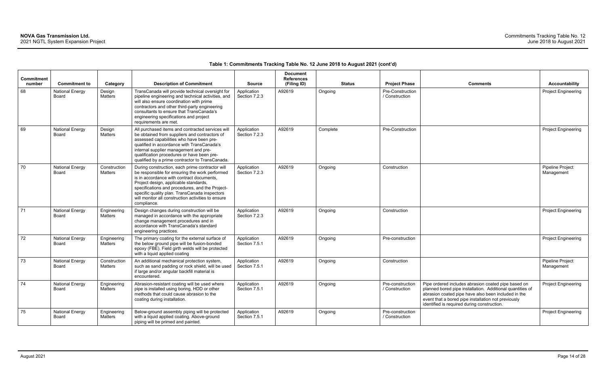| Commitment<br>number | <b>Commitment to</b>            | Category                       | <b>Description of Commitment</b>                                                                                                                                                                                                                                                                                                                                 | <b>Source</b>                | <b>Document</b><br><b>References</b><br>(Filing ID) | <b>Status</b> | <b>Project Phase</b>               | <b>Comments</b>                                                                                                                                                                                                                                                               | <b>Accountability</b>          |
|----------------------|---------------------------------|--------------------------------|------------------------------------------------------------------------------------------------------------------------------------------------------------------------------------------------------------------------------------------------------------------------------------------------------------------------------------------------------------------|------------------------------|-----------------------------------------------------|---------------|------------------------------------|-------------------------------------------------------------------------------------------------------------------------------------------------------------------------------------------------------------------------------------------------------------------------------|--------------------------------|
| 68                   | <b>National Energy</b><br>Board | Design<br>Matters              | TransCanada will provide technical oversight for<br>pipeline engineering and technical activities, and<br>will also ensure coordination with prime<br>contractors and other third-party engineering<br>consultants to ensure that TransCanada's<br>engineering specifications and project<br>requirements are met.                                               | Application<br>Section 7.2.3 | A92619                                              | Ongoing       | Pre-Construction<br>/ Construction |                                                                                                                                                                                                                                                                               | Project Engineering            |
| 69                   | <b>National Energy</b><br>Board | Design<br><b>Matters</b>       | All purchased items and contracted services will<br>be obtained from suppliers and contractors of<br>assessed capabilities who have been pre-<br>qualified in accordance with TransCanada's<br>internal supplier management and pre-<br>qualification procedures or have been pre-<br>qualified by a prime contractor to TransCanada.                            | Application<br>Section 7.2.3 | A92619                                              | Complete      | Pre-Construction                   |                                                                                                                                                                                                                                                                               | Project Engineering            |
| 70                   | <b>National Energy</b><br>Board | Construction<br><b>Matters</b> | During construction, each prime contractor will<br>be responsible for ensuring the work performed<br>is in accordance with contract documents,<br>Project design, applicable standards,<br>specifications and procedures, and the Project-<br>specific quality plan. TransCanada inspectors<br>will monitor all construction activities to ensure<br>compliance. | Application<br>Section 7.2.3 | A92619                                              | Ongoing       | Construction                       |                                                                                                                                                                                                                                                                               | Pipeline Project<br>Management |
| 71                   | <b>National Energy</b><br>Board | Engineering<br>Matters         | Design changes during construction will be<br>managed in accordance with the appropriate<br>change management procedures and in<br>accordance with TransCanada's standard<br>engineering practices.                                                                                                                                                              | Application<br>Section 7.2.3 | A92619                                              | Ongoing       | Construction                       |                                                                                                                                                                                                                                                                               | <b>Project Engineering</b>     |
| 72                   | <b>National Energy</b><br>Board | Engineering<br>Matters         | The primary coating for the external surface of<br>the below ground pipe will be fusion-bonded<br>epoxy (FBE). Field girth welds will be protected<br>with a liquid applied coating                                                                                                                                                                              | Application<br>Section 7.5.1 | A92619                                              | Ongoing       | Pre-construction                   |                                                                                                                                                                                                                                                                               | Project Engineering            |
| 73                   | <b>National Energy</b><br>Board | Construction<br><b>Matters</b> | An additional mechanical protection system,<br>such as sand padding or rock shield, will be used<br>if large and/or angular backfill material is<br>encountered.                                                                                                                                                                                                 | Application<br>Section 7.5.1 | A92619                                              | Ongoing       | Construction                       |                                                                                                                                                                                                                                                                               | Pipeline Project<br>Management |
| 74                   | <b>National Energy</b><br>Board | Engineering<br><b>Matters</b>  | Abrasion-resistant coating will be used where<br>pipe is installed using boring, HDD or other<br>methods that could cause abrasion to the<br>coating during installation.                                                                                                                                                                                        | Application<br>Section 7.5.1 | A92619                                              | Ongoing       | Pre-construction<br>/ Construction | Pipe ordered includes abrasion coated pipe based on<br>planned bored pipe installation. Additional quantities of<br>abrasion coated pipe have also been included in the<br>event that a bored pipe installation not previously<br>identified is required during construction. | <b>Project Engineering</b>     |
| 75                   | <b>National Energy</b><br>Board | Engineering<br>Matters         | Below-ground assembly piping will be protected<br>with a liquid applied coating. Above-ground<br>piping will be primed and painted.                                                                                                                                                                                                                              | Application<br>Section 7.5.1 | A92619                                              | Ongoing       | Pre-construction<br>/ Construction |                                                                                                                                                                                                                                                                               | <b>Project Engineering</b>     |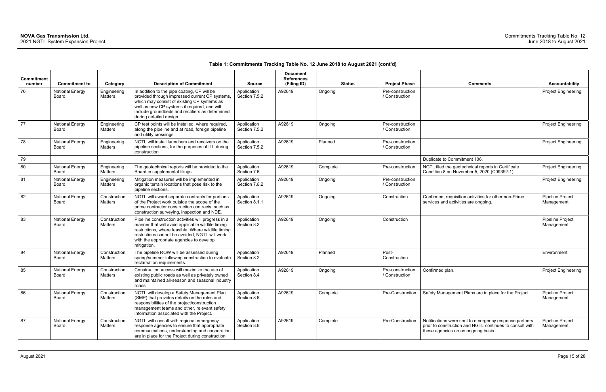| <b>Commitment</b> |                                 |                               |                                                                                                                                                                                                                                                                              |                              | <b>Document</b><br><b>References</b> |          |               |                                    |                                                                                                                                                           |                                |
|-------------------|---------------------------------|-------------------------------|------------------------------------------------------------------------------------------------------------------------------------------------------------------------------------------------------------------------------------------------------------------------------|------------------------------|--------------------------------------|----------|---------------|------------------------------------|-----------------------------------------------------------------------------------------------------------------------------------------------------------|--------------------------------|
| number            | <b>Commitment to</b>            | Category                      | <b>Description of Commitment</b>                                                                                                                                                                                                                                             | <b>Source</b>                | (Filing ID)                          |          | <b>Status</b> | <b>Project Phase</b>               | <b>Comments</b>                                                                                                                                           | <b>Accountability</b>          |
| 76                | <b>National Energy</b><br>Board | Engineering<br>Matters        | In addition to the pipe coating, CP will be<br>provided through impressed current CP systems,<br>which may consist of existing CP systems as<br>well as new CP systems if required, and will<br>include groundbeds and rectifiers as determined<br>during detailed design.   | Application<br>Section 7.5.2 | A92619                               | Ongoing  |               | Pre-construction<br>/ Construction |                                                                                                                                                           | <b>Project Engineering</b>     |
| 77                | <b>National Energy</b><br>Board | Engineering<br>Matters        | CP test points will be installed, where required,<br>along the pipeline and at road, foreign pipeline<br>and utility crossings.                                                                                                                                              | Application<br>Section 7.5.2 | A92619                               | Ongoing  |               | Pre-construction<br>/ Construction |                                                                                                                                                           | <b>Project Engineering</b>     |
| 78                | <b>National Energy</b><br>Board | Engineering<br>Matters        | NGTL will install launchers and receivers on the<br>pipeline sections, for the purposes of ILI, during<br>construction                                                                                                                                                       | Application<br>Section 7.5.2 | A92619                               | Planned  |               | Pre-construction<br>/ Construction |                                                                                                                                                           | <b>Project Engineering</b>     |
| 79                |                                 |                               |                                                                                                                                                                                                                                                                              |                              |                                      |          |               |                                    | Duplicate to Commitment 106.                                                                                                                              |                                |
| 80                | <b>National Energy</b><br>Board | Engineering<br><b>Matters</b> | The geotechnical reports will be provided to the<br>Board in supplemental filings.                                                                                                                                                                                           | Application<br>Section 7.6   | A92619                               | Complete |               | Pre-construction                   | NGTL filed the geotechnical reports in Certificate<br>Condition 8 on November 5, 2020 (C09392-1).                                                         | <b>Project Engineering</b>     |
| 81                | <b>National Energy</b><br>Board | Engineering<br>Matters        | Mitigation measures will be implemented in<br>organic terrain locations that pose risk to the<br>pipeline sections.                                                                                                                                                          | Application<br>Section 7.6.2 | A92619                               | Ongoing  |               | Pre-construction<br>/ Construction |                                                                                                                                                           | <b>Project Engineering</b>     |
| 82                | <b>National Energy</b><br>Board | Construction<br>Matters       | NGTL will award separate contracts for portions<br>of the Project work outside the scope of the<br>prime contractor construction contracts, such as<br>construction surveying, inspection and NDE.                                                                           | Application<br>Section 8.1.1 | A92619                               | Ongoing  |               | Construction                       | Confirmed, requisition activities for other non-Prime<br>services and activities are ongoing.                                                             | Pipeline Project<br>Management |
| 83                | <b>National Energy</b><br>Board | Construction<br>Matters       | Pipeline construction activities will progress in a<br>manner that will avoid applicable wildlife timing<br>restrictions, where feasible. Where wildlife timing<br>restrictions cannot be avoided, NGTL will work<br>with the appropriate agencies to develop<br>mitigation. | Application<br>Section 8.2   | A92619                               | Ongoing  |               | Construction                       |                                                                                                                                                           | Pipeline Project<br>Management |
| 84                | <b>National Energy</b><br>Board | Construction<br>Matters       | The pipeline ROW will be assessed during<br>spring/summer following construction to evaluate<br>reclamation requirements.                                                                                                                                                    | Application<br>Section 8.2   | A92619                               | Planned  |               | Post-<br>Construction              |                                                                                                                                                           | Environment                    |
| 85                | <b>National Energy</b><br>Board | Construction<br>Matters       | Construction access will maximize the use of<br>existing public roads as well as privately owned<br>and maintained all-season and seasonal industry<br>roads                                                                                                                 | Application<br>Section 8.4   | A92619                               | Ongoing  |               | Pre-construction<br>/ Construction | Confirmed plan.                                                                                                                                           | <b>Project Engineering</b>     |
| 86                | <b>National Energy</b><br>Board | Construction<br>Matters       | NGTL will develop a Safety Management Plan<br>(SMP) that provides details on the roles and<br>responsibilities of the project/construction<br>management teams and other, relevant safety<br>information associated with the Project.                                        | Application<br>Section 8.6   | A92619                               | Complete |               |                                    | Pre-Construction   Safety Management Plans are in place for the Project.                                                                                  | Pipeline Project<br>Management |
| 87                | <b>National Energy</b><br>Board | Construction<br>Matters       | NGTL will consult with regional emergency<br>response agencies to ensure that appropriate<br>communications, understanding and cooperation<br>are in place for the Project during construction.                                                                              | Application<br>Section 8.6   | A92619                               | Complete |               | Pre-Construction                   | Notifications were sent to emergency response partners<br>prior to construction and NGTL continues to consult with<br>these agencies on an ongoing basis. | Pipeline Project<br>Management |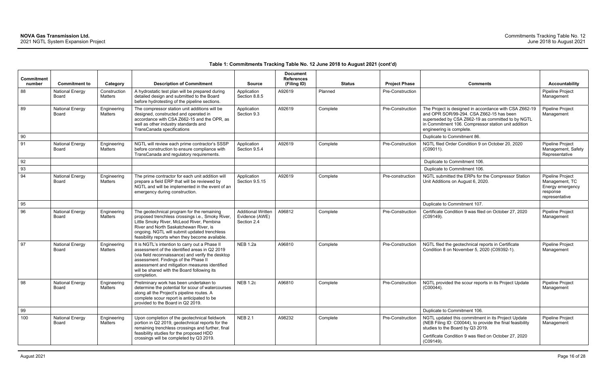| <b>Commitment</b> |                                        |                         |                                                                                                                                                                                                                                                                                                             |                                                            | <b>Document</b><br><b>References</b> |          |        |                      |                                                                                                                                                                                                                                            |                                                                                      |
|-------------------|----------------------------------------|-------------------------|-------------------------------------------------------------------------------------------------------------------------------------------------------------------------------------------------------------------------------------------------------------------------------------------------------------|------------------------------------------------------------|--------------------------------------|----------|--------|----------------------|--------------------------------------------------------------------------------------------------------------------------------------------------------------------------------------------------------------------------------------------|--------------------------------------------------------------------------------------|
| number            | <b>Commitment to</b>                   | Category                | <b>Description of Commitment</b>                                                                                                                                                                                                                                                                            | <b>Source</b>                                              | (Filing ID)                          |          | Status | <b>Project Phase</b> | <b>Comments</b>                                                                                                                                                                                                                            | <b>Accountability</b>                                                                |
| 88                | <b>National Energy</b><br>Board        | Construction<br>Matters | A hydrostatic test plan will be prepared during<br>detailed design and submitted to the Board<br>before hydrotesting of the pipeline sections.                                                                                                                                                              | Application<br>Section 8.8.5                               | A92619                               | Planned  |        | Pre-Construction     |                                                                                                                                                                                                                                            | <b>Pipeline Project</b><br>Management                                                |
| 89                | <b>National Energy</b><br>Board        | Engineering<br>Matters  | The compressor station unit additions will be<br>designed, constructed and operated in<br>accordance with CSA Z662-15 and the OPR, as<br>well as other industry standards and<br>TransCanada specifications                                                                                                 | Application<br>Section 9.3                                 | A92619                               | Complete |        | Pre-Construction     | The Project is designed in accordance with CSA Z662-19<br>and OPR SOR/99-294. CSA Z662-15 has been<br>superseded by CSA Z662-19 as committed to by NGTL<br>in Commitment 106. Compressor station unit addition<br>engineering is complete. | Pipeline Project<br>Management                                                       |
| 90                |                                        |                         |                                                                                                                                                                                                                                                                                                             |                                                            |                                      |          |        |                      | Duplicate to Commitment 86.                                                                                                                                                                                                                |                                                                                      |
| 91                | <b>National Energy</b><br>Board        | Engineering<br>Matters  | NGTL will review each prime contractor's SSSP<br>before construction to ensure compliance with<br>TransCanada and regulatory requirements.                                                                                                                                                                  | Application<br>Section 9.5.4                               | A92619                               | Complete |        | Pre-Construction     | NGTL filed Order Condition 9 on October 20, 2020<br>$(C09011)$ .                                                                                                                                                                           | Pipeline Project<br>Management, Safety<br>Representative                             |
| 92                |                                        |                         |                                                                                                                                                                                                                                                                                                             |                                                            |                                      |          |        |                      | Duplicate to Commitment 106.                                                                                                                                                                                                               |                                                                                      |
| 93                |                                        |                         |                                                                                                                                                                                                                                                                                                             |                                                            |                                      |          |        |                      | Duplicate to Commitment 106.                                                                                                                                                                                                               |                                                                                      |
| 94                | <b>National Energy</b><br>Board        | Engineering<br>Matters  | The prime contractor for each unit addition will<br>prepare a field ERP that will be reviewed by<br>NGTL and will be implemented in the event of an<br>emergency during construction.                                                                                                                       | Application<br>Section 9.5.15                              | A92619                               | Complete |        | Pre-construction     | NGTL submitted the ERPs for the Compressor Station<br>Unit Additions on August 6, 2020.                                                                                                                                                    | Pipeline Project<br>Management, TC<br>Energy emergency<br>response<br>representative |
| 95                |                                        |                         |                                                                                                                                                                                                                                                                                                             |                                                            |                                      |          |        |                      | Duplicate to Commitment 107.                                                                                                                                                                                                               |                                                                                      |
| 96                | <b>National Energy</b><br><b>Board</b> | Engineering<br>Matters  | The geotechnical program for the remaining<br>proposed trenchless crossings i.e., Smoky River,<br>Little Smoky River, McLeod River, Pembina<br>River and North Saskatchewan River, is<br>ongoing. NGTL will submit updated trenchless<br>feasibility reports when they become available.                    | <b>Additional Written</b><br>Evidence (AWE)<br>Section 2.4 | A96812                               | Complete |        | Pre-Construction     | Certificate Condition 9 was filed on October 27, 2020<br>(C09149).                                                                                                                                                                         | <b>Pipeline Project</b><br>Management                                                |
| 97                | <b>National Energy</b><br><b>Board</b> | Engineering<br>Matters  | It is NGTL's intention to carry out a Phase II<br>assessment of the identified areas in Q2 2019<br>(via field reconnaissance) and verify the desktop<br>assessment. Findings of the Phase II<br>assessment and mitigation measures identified<br>will be shared with the Board following its<br>completion. | <b>NEB 1.2a</b>                                            | A96810                               | Complete |        | Pre-Construction     | NGTL filed the geotechnical reports in Certificate<br>Condition 8 on November 5, 2020 (C09392-1).                                                                                                                                          | Pipeline Project<br>Management                                                       |
| 98                | <b>National Energy</b><br>Board        | Engineering<br>Matters  | Preliminary work has been undertaken to<br>determine the potential for scour of watercourses<br>along all the Project's pipeline routes. A<br>complete scour report is anticipated to be<br>provided to the Board in Q2 2019.                                                                               | <b>NEB 1.2c</b>                                            | A96810                               | Complete |        | Pre-Construction     | NGTL provided the scour reports in its Project Update<br>$(C00044)$ .                                                                                                                                                                      | <b>Pipeline Project</b><br>Management                                                |
| 99                |                                        |                         |                                                                                                                                                                                                                                                                                                             |                                                            |                                      |          |        |                      | Duplicate to Commitment 106.                                                                                                                                                                                                               |                                                                                      |
| 100               | <b>National Energy</b><br>Board        | Engineering<br>Matters  | Upon completion of the geotechnical fieldwork<br>portion in Q2 2019, geotechnical reports for the<br>remaining trenchless crossings and further, final<br>feasibility studies for the proposed HDD<br>crossings will be completed by Q3 2019.                                                               | <b>NEB 2.1</b>                                             | A98232                               | Complete |        | Pre-Construction     | NGTL updated this commitment in its Project Update<br>(NEB Filing ID: C00044), to provide the final feasibility<br>studies to the Board by Q3 2019.<br>Certificate Condition 9 was filed on October 27, 2020<br>(C09149).                  | Pipeline Project<br>Management                                                       |
|                   |                                        |                         |                                                                                                                                                                                                                                                                                                             |                                                            |                                      |          |        |                      |                                                                                                                                                                                                                                            |                                                                                      |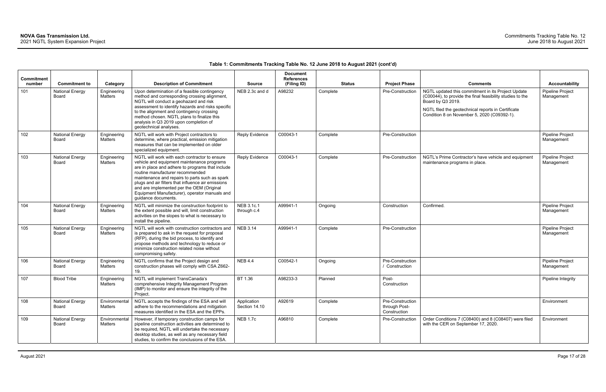| <b>Commitment</b> |                                                         |                                    |                                                                                                                                                                                                                                                                                                                                                                                                                  |                                 | <b>Document</b><br><b>References</b> |                           |                                                   |                                                                                                                                                                                                                                                              |                                                         |
|-------------------|---------------------------------------------------------|------------------------------------|------------------------------------------------------------------------------------------------------------------------------------------------------------------------------------------------------------------------------------------------------------------------------------------------------------------------------------------------------------------------------------------------------------------|---------------------------------|--------------------------------------|---------------------------|---------------------------------------------------|--------------------------------------------------------------------------------------------------------------------------------------------------------------------------------------------------------------------------------------------------------------|---------------------------------------------------------|
| number<br>101     | <b>Commitment to</b><br><b>National Energy</b><br>Board | Category<br>Engineering<br>Matters | <b>Description of Commitment</b><br>Upon determination of a feasible contingency<br>method and corresponding crossing alignment,<br>NGTL will conduct a geohazard and risk<br>assessment to identify hazards and risks specific<br>to the alignment and contingency crossing<br>method chosen. NGTL plans to finalize this<br>analysis in Q3 2019 upon completion of<br>geotechnical analyses.                   | <b>Source</b><br>NEB 2.3c and d | (Filing ID)<br>A98232                | <b>Status</b><br>Complete | <b>Project Phase</b><br>Pre-Construction          | <b>Comments</b><br>NGTL updated this commitment in its Project Update<br>(C00044), to provide the final feasibility studies to the<br>Board by Q3 2019.<br>NGTL filed the geotechnical reports in Certificate<br>Condition 8 on November 5, 2020 (C09392-1). | <b>Accountability</b><br>Pipeline Project<br>Management |
| 102               | <b>National Energy</b><br>Board                         | Engineering<br>Matters             | NGTL will work with Project contractors to<br>determine, where practical, emission mitigation<br>measures that can be implemented on older<br>specialized equipment.                                                                                                                                                                                                                                             | <b>Reply Evidence</b>           | C00043-1                             | Complete                  | Pre-Construction                                  |                                                                                                                                                                                                                                                              | <b>Pipeline Project</b><br>Management                   |
| 103               | <b>National Energy</b><br>Board                         | Engineering<br>Matters             | NGTL will work with each contractor to ensure<br>vehicle and equipment maintenance programs<br>are in place and adhere to programs that include<br>routine manufacturer recommended<br>maintenance and repairs to parts such as spark<br>plugs and air filters that influence air emissions<br>and are implemented per the OEM (Original<br>Equipment Manufacturer), operator manuals and<br>guidance documents. | <b>Reply Evidence</b>           | C00043-1                             | Complete                  | Pre-Construction                                  | NGTL's Prime Contractor's have vehicle and equipment<br>maintenance programs in place.                                                                                                                                                                       | Pipeline Project<br>Management                          |
| 104               | <b>National Energy</b><br>Board                         | Engineering<br>Matters             | NGTL will minimize the construction footprint to<br>the extent possible and will, limit construction<br>activities on the slopes to what is necessary to<br>install the pipeline.                                                                                                                                                                                                                                | NEB 3.1c.1<br>through c.4       | A99941-1                             | Ongoing                   | Construction                                      | Confirmed.                                                                                                                                                                                                                                                   | Pipeline Project<br>Management                          |
| 105               | <b>National Energy</b><br><b>Board</b>                  | Engineering<br>Matters             | NGTL will work with construction contractors and<br>is prepared to ask in the request for proposal<br>(RFP), during the bid process, to identify and<br>propose methods and technology to reduce or<br>minimize construction related noise without<br>compromising safety.                                                                                                                                       | <b>NEB 3.14</b>                 | A99941-1                             | Complete                  | Pre-Construction                                  |                                                                                                                                                                                                                                                              | Pipeline Project<br>Management                          |
| 106               | <b>National Energy</b><br>Board                         | Engineering<br>Matters             | NGTL confirms that the Project design and<br>construction phases will comply with CSA Z662-<br>19.                                                                                                                                                                                                                                                                                                               | <b>NEB 4.4</b>                  | C00542-1                             | Ongoing                   | Pre-Construction<br>/ Construction                |                                                                                                                                                                                                                                                              | Pipeline Project<br>Management                          |
| 107               | <b>Blood Tribe</b>                                      | Engineering<br>Matters             | NGTL will implement TransCanada's<br>comprehensive Integrity Management Program<br>(IMP) to monitor and ensure the integrity of the<br>Project.                                                                                                                                                                                                                                                                  | BT 1.36                         | A98233-3                             | Planned                   | Post-<br>Construction                             |                                                                                                                                                                                                                                                              | Pipeline Integrity                                      |
| 108               | <b>National Energy</b><br>Board                         | Environmental<br>Matters           | NGTL accepts the findings of the ESA and will<br>adhere to the recommendations and mitigation<br>measures identified in the ESA and the EPPs.                                                                                                                                                                                                                                                                    | Application<br>Section 14.10    | A92619                               | Complete                  | Pre-Construction<br>through Post-<br>Construction |                                                                                                                                                                                                                                                              | Environment                                             |
| 109               | <b>National Energy</b><br>Board                         | Environmental<br>Matters           | However, if temporary construction camps for<br>pipeline construction activities are determined to<br>be required, NGTL will undertake the necessary<br>desktop studies, as well as any necessary field<br>studies, to confirm the conclusions of the ESA.                                                                                                                                                       | <b>NEB 1.7c</b>                 | A96810                               | Complete                  | Pre-Construction                                  | Order Conditions 7 (C08400) and 8 (C08407) were filed<br>with the CER on September 17, 2020.                                                                                                                                                                 | Environment                                             |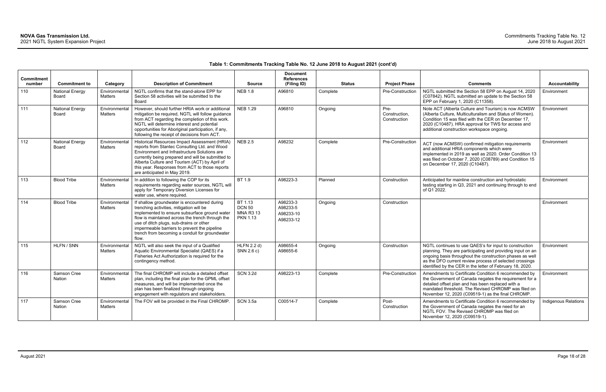| <b>Commitment</b><br>number | <b>Commitment to</b>            | Category                        | <b>Description of Commitment</b>                                                                                                                                                                                                                                                                                                                    | <b>Source</b>                                                   | <b>Document</b><br><b>References</b><br>(Filing ID) | <b>Status</b> | <b>Project Phase</b>                  | <b>Comments</b>                                                                                                                                                                                                                                                                                          | <b>Accountability</b>       |
|-----------------------------|---------------------------------|---------------------------------|-----------------------------------------------------------------------------------------------------------------------------------------------------------------------------------------------------------------------------------------------------------------------------------------------------------------------------------------------------|-----------------------------------------------------------------|-----------------------------------------------------|---------------|---------------------------------------|----------------------------------------------------------------------------------------------------------------------------------------------------------------------------------------------------------------------------------------------------------------------------------------------------------|-----------------------------|
| 110                         | <b>National Energy</b><br>Board | Environmental<br>Matters        | NGTL confirms that the stand-alone EPP for<br>Section 58 activities will be submitted to the<br>Board                                                                                                                                                                                                                                               | <b>NEB 1.8</b>                                                  | A96810                                              | Complete      | Pre-Construction                      | NGTL submitted the Section 58 EPP on August 14, 2020<br>(C07842). NGTL submitted an update to the Section 58<br>EPP on February 1, 2020 (C11358).                                                                                                                                                        | Environment                 |
| 111                         | <b>National Energy</b><br>Board | Environmental<br>Matters        | However, should further HRIA work or additional<br>mitigation be required, NGTL will follow guidance<br>from ACT regarding the completion of this work.<br>NGTL will determine interest and potential<br>opportunities for Aboriginal participation, if any,<br>following the receipt of decisions from ACT.                                        | <b>NEB 1.29</b>                                                 | A96810                                              | Ongoing       | Pre-<br>Construction,<br>Construction | Note ACT (Alberta Culture and Tourism) is now ACMSW<br>(Alberta Culture, Multiculturalism and Status of Women).<br>Condition 15 was filed with the CER on December 17,<br>2020 (C10487). HRA approval for TWS for access and<br>additional construction workspace ongoing.                               | Environment                 |
| 112                         | <b>National Energy</b><br>Board | Environmental<br>Matters        | Historical Resources Impact Assessment (HRIA)<br>reports from Stantec Consulting Ltd. and Wood<br>Environment and Infrastructure Solutions are<br>currently being prepared and will be submitted to<br>Alberta Culture and Tourism (ACT) by April of<br>this year. Responses from ACT to those reports<br>are anticipated in May 2019.              | <b>NEB 2.5</b>                                                  | A98232                                              | Complete      | Pre-Construction                      | ACT (now ACMSW) confirmed mitigation requirements<br>and additional HRIA components which were<br>implemented in 2019 as well as 2020. Order Condition 13<br>was filed on October 7, 2020 (C08789) and Condition 15<br>on December 17, 2020 (C10487).                                                    | Environment                 |
| 113                         | <b>Blood Tribe</b>              | Environmental<br>Matters        | In addition to following the COP for its<br>requirements regarding water sources, NGTL will<br>apply for Temporary Diversion Licenses for<br>water use, where required.                                                                                                                                                                             | BT 1.9                                                          | A98223-3                                            | Planned       | Construction                          | Anticipated for mainline construction and hydrostatic<br>testing starting in Q3, 2021 and continuing through to end<br>of Q1 2022.                                                                                                                                                                       | Environment                 |
| 114                         | <b>Blood Tribe</b>              | Environmental<br>Matters        | If shallow groundwater is encountered during<br>trenching activities, mitigation will be<br>implemented to ensure subsurface ground water<br>flow is maintained across the trench through the<br>use of ditch plugs, sub-drains or other<br>impermeable barriers to prevent the pipeline<br>trench from becoming a conduit for groundwater<br>flow. | BT 1.13<br><b>DCN 50</b><br><b>MNA R3 13</b><br><b>PKN 1.13</b> | A98233-3<br>A98233-5<br>A98233-10<br>A98233-12      | Ongoing       | Construction                          |                                                                                                                                                                                                                                                                                                          | Environment                 |
| 115                         | HLFN / SNN                      | Environmental<br>Matters        | NGTL will also seek the input of a Qualified<br>Aquatic Environmental Specialist (QAES) if a<br>Fisheries Act Authorization is required for the<br>contingency method.                                                                                                                                                                              | HLFN 2.2 d)<br>SNN 2.6 c)                                       | A98655-4<br>A98655-6                                | Ongoing       | Construction                          | NGTL continues to use QAES's for input to construction<br>planning. They are participating and providing input on an<br>ongoing basis throughout the construction phases as well<br>as the DFO current review process of selected crossings<br>identified by the CER in the letter of February 18, 2020. | Environment                 |
| 116                         | Samson Cree<br>Nation           | Environmental<br><b>Matters</b> | The final CHROMP will include a detailed offset<br>plan, including the final plan for the GPML offset<br>measures, and will be implemented once the<br>plan has been finalized through ongoing<br>engagement with regulators and stakeholders.                                                                                                      | <b>SCN 3.2d</b>                                                 | A98223-13                                           | Complete      | Pre-Construction                      | Amendments to Certificate Condition 6 recommended by<br>the Government of Canada negates the requirement for a<br>detailed offset plan and has been replaced with a<br>mandated threshold. The Revised CHROMP was filed on<br>November 12, 2020 (C09519-1) as the final CHROMP.                          | Environment                 |
| 117                         | Samson Cree<br>Nation           | Environmental<br>Matters        | The FOV will be provided in the Final CHROMP.                                                                                                                                                                                                                                                                                                       | <b>SCN 3.5a</b>                                                 | C00514-7                                            | Complete      | Post-<br>Construction                 | Amendments to Certificate Condition 6 recommended by<br>the Government of Canada negates the need for an<br>NGTL FOV. The Revised CHROMP was filed on<br>November 12, 2020 (C09519-1).                                                                                                                   | <b>Indigenous Relations</b> |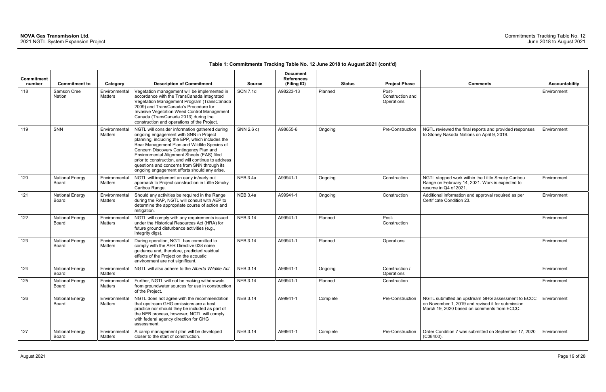### **Table 1: Commitments Tracking Table No. 12 June 2018 to August 2021 (cont'd)**

| Commitment<br>number | <b>Commitment to</b>            | Category                        | <b>Description of Commitment</b>                                                                                                                                                                                                                                                                                                                                                                                                          | <b>Source</b>   | <b>Document</b><br><b>References</b><br>(Filing ID) | <b>Status</b> | <b>Project Phase</b>                    | <b>Comments</b>                                                                                                                                       | <b>Accountability</b> |
|----------------------|---------------------------------|---------------------------------|-------------------------------------------------------------------------------------------------------------------------------------------------------------------------------------------------------------------------------------------------------------------------------------------------------------------------------------------------------------------------------------------------------------------------------------------|-----------------|-----------------------------------------------------|---------------|-----------------------------------------|-------------------------------------------------------------------------------------------------------------------------------------------------------|-----------------------|
| 118                  | Samson Cree<br>Nation           | Environmental<br>Matters        | Vegetation management will be implemented in<br>accordance with the TransCanada Integrated<br>Vegetation Management Program (TransCanada<br>2009) and TransCanada's Procedure for<br>Invasive Vegetation Weed Control Management<br>Canada (TransCanada 2013) during the<br>construction and operations of the Project.                                                                                                                   | <b>SCN 7.1d</b> | A98223-13                                           | Planned       | Post-<br>Construction and<br>Operations |                                                                                                                                                       | Environment           |
| 119                  | SNN                             | Environmental<br>Matters        | NGTL will consider information gathered during<br>ongoing engagement with SNN in Project<br>planning, including the EPP, which includes the<br>Bear Management Plan and Wildlife Species of<br>Concern Discovery Contingency Plan and<br>Environmental Alignment Sheets (EAS) filed<br>prior to construction, and will continue to address<br>questions and concerns from SNN through its<br>ongoing engagement efforts should any arise. | SNN 2.6 c)      | A98655-6                                            | Ongoing       | Pre-Construction                        | NGTL reviewed the final reports and provided responses<br>to Stoney Nakoda Nations on April 9, 2019.                                                  | Environment           |
| 120                  | <b>National Energy</b><br>Board | Environmental<br>Matters        | NGTL will implement an early in/early out<br>approach to Project construction in Little Smoky<br>Caribou Range.                                                                                                                                                                                                                                                                                                                           | <b>NEB 3.4a</b> | A99941-1                                            | Ongoing       | Construction                            | NGTL stopped work within the Little Smoky Caribou<br>Range on February 14, 2021. Work is expected to<br>resume in Q4 of 2021.                         | Environment           |
| 121                  | <b>National Energy</b><br>Board | Environmental<br>Matters        | Should any activities be required in the Range<br>during the RAP, NGTL will consult with AEP to<br>determine the appropriate course of action and<br>mitigation.                                                                                                                                                                                                                                                                          | <b>NEB 3.4a</b> | A99941-1                                            | Ongoing       | Construction                            | Additional information and approval required as per<br>Certificate Condition 23.                                                                      | Environment           |
| 122                  | <b>National Energy</b><br>Board | Environmental<br>Matters        | NGTL will comply with any requirements issued<br>under the Historical Resources Act (HRA) for<br>future ground disturbance activities (e.g.,<br>integrity digs).                                                                                                                                                                                                                                                                          | <b>NEB 3.14</b> | A99941-1                                            | Planned       | Post-<br>Construction                   |                                                                                                                                                       | Environment           |
| 123                  | <b>National Energy</b><br>Board | Environmental<br>Matters        | During operation, NGTL has committed to<br>comply with the AER Directive 038 noise<br>guidance and, therefore, predicted residual<br>effects of the Project on the acoustic<br>environment are not significant.                                                                                                                                                                                                                           | <b>NEB 3.14</b> | A99941-1                                            | Planned       | Operations                              |                                                                                                                                                       | Environment           |
| 124                  | <b>National Energy</b><br>Board | Environmental<br>Matters        | NGTL will also adhere to the Alberta Wildlife Act.                                                                                                                                                                                                                                                                                                                                                                                        | <b>NEB 3.14</b> | A99941-1                                            | Ongoing       | Construction /<br>Operations            |                                                                                                                                                       | Environment           |
| 125                  | <b>National Energy</b><br>Board | Environmental<br><b>Matters</b> | Further, NGTL will not be making withdrawals<br>from groundwater sources for use in construction<br>of the Project.                                                                                                                                                                                                                                                                                                                       | <b>NEB 3.14</b> | A99941-1                                            | Planned       | Construction                            |                                                                                                                                                       | Environment           |
| 126                  | <b>National Energy</b><br>Board | Environmental<br>Matters        | NGTL does not agree with the recommendation<br>that upstream GHG emissions are a best<br>practice nor should they be included as part of<br>the NEB process, however, NGTL will comply<br>with federal agency direction for GHG<br>assessment.                                                                                                                                                                                            | <b>NEB 3.14</b> | A99941-1                                            | Complete      | Pre-Construction                        | NGTL submitted an upstream GHG assessment to ECCC<br>on November 1, 2019 and revised it for submission<br>March 19, 2020 based on comments from ECCC. | Environment           |
| 127                  | <b>National Energy</b><br>Board | Environmental<br>Matters        | A camp management plan will be developed<br>closer to the start of construction.                                                                                                                                                                                                                                                                                                                                                          | <b>NEB 3.14</b> | A99941-1                                            | Complete      | Pre-Construction                        | Order Condition 7 was submitted on September 17, 2020<br>$(C08400)$ .                                                                                 | Environment           |

| <b>Project Phase</b>                    | <b>Comments</b>                                                                                                                                       | <b>Accountability</b> |
|-----------------------------------------|-------------------------------------------------------------------------------------------------------------------------------------------------------|-----------------------|
| Post-<br>Construction and<br>Operations |                                                                                                                                                       | Environment           |
| Pre-Construction                        | NGTL reviewed the final reports and provided responses<br>to Stoney Nakoda Nations on April 9, 2019.                                                  | Environment           |
| Construction                            | NGTL stopped work within the Little Smoky Caribou<br>Range on February 14, 2021. Work is expected to<br>resume in Q4 of 2021.                         | Environment           |
| Construction                            | Additional information and approval required as per<br>Certificate Condition 23.                                                                      | Environment           |
| Post-<br>Construction                   |                                                                                                                                                       | Environment           |
| Operations                              |                                                                                                                                                       | Environment           |
| Construction /<br>Operations            |                                                                                                                                                       | Environment           |
| Construction                            |                                                                                                                                                       | Environment           |
| Pre-Construction                        | NGTL submitted an upstream GHG assessment to ECCC<br>on November 1, 2019 and revised it for submission<br>March 19, 2020 based on comments from ECCC. | Environment           |
| Pre-Construction                        | Order Condition 7 was submitted on September 17, 2020<br>(C08400).                                                                                    | Environment           |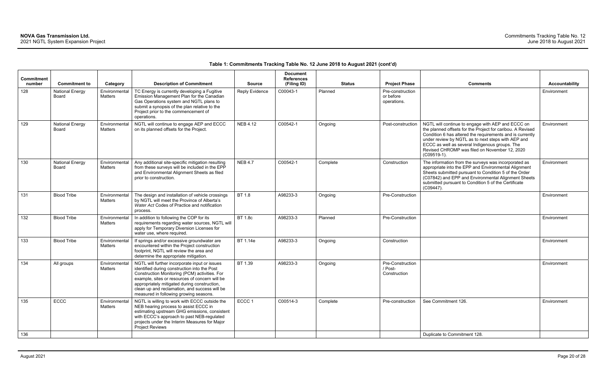# **Table 1: Commitments Tracking Table No. 12 June 2018 to August 2021 (cont'd)**

| <b>Commitment</b><br>number | <b>Commitment to</b>            | Category                        | <b>Description of Commitment</b>                                                                                                                                                                                                                                                                                                            | <b>Source</b>         | <b>Document</b><br><b>References</b><br>(Filing ID) |          | <b>Status</b> | <b>Project Phase</b>                         | <b>Comments</b>                                                                                                                                                                                                                                                                                                                                         | <b>Accountability</b> |
|-----------------------------|---------------------------------|---------------------------------|---------------------------------------------------------------------------------------------------------------------------------------------------------------------------------------------------------------------------------------------------------------------------------------------------------------------------------------------|-----------------------|-----------------------------------------------------|----------|---------------|----------------------------------------------|---------------------------------------------------------------------------------------------------------------------------------------------------------------------------------------------------------------------------------------------------------------------------------------------------------------------------------------------------------|-----------------------|
| 128                         | <b>National Energy</b><br>Board | Environmental<br>Matters        | TC Energy is currently developing a Fugitive<br>Emission Management Plan for the Canadian<br>Gas Operations system and NGTL plans to<br>submit a synopsis of the plan relative to the<br>Project prior to the commencement of<br>operations.                                                                                                | <b>Reply Evidence</b> | C00043-1                                            | Planned  |               | Pre-construction<br>or before<br>operations. |                                                                                                                                                                                                                                                                                                                                                         | Environment           |
| 129                         | <b>National Energy</b><br>Board | Environmental<br><b>Matters</b> | NGTL will continue to engage AEP and ECCC<br>on its planned offsets for the Project.                                                                                                                                                                                                                                                        | <b>NEB 4.12</b>       | C00542-1                                            | Ongoing  |               | Post-construction                            | NGTL will continue to engage with AEP and ECCC on<br>the planned offsets for the Project for caribou. A Revised<br>Condition 6 has altered the requirements and is currently<br>under review by NGTL as to next steps with AEP and<br>ECCC as well as several Indigenous groups. The<br>Revised CHROMP was filed on November 12, 2020<br>$(C09519-1)$ . | Environment           |
| 130                         | <b>National Energy</b><br>Board | Environmental<br><b>Matters</b> | Any additional site-specific mitigation resulting<br>from these surveys will be included in the EPP<br>and Environmental Alignment Sheets as filed<br>prior to construction.                                                                                                                                                                | <b>NEB 4.7</b>        | C00542-1                                            | Complete |               | Construction                                 | The information from the surveys was incorporated as<br>appropriate into the EPP and Environmental Alignment<br>Sheets submitted pursuant to Condition 5 of the Order<br>(C07842) and EPP and Environmental Alignment Sheets<br>submitted pursuant to Condition 5 of the Certificate<br>$(C09447)$ .                                                    | Environment           |
| 131                         | <b>Blood Tribe</b>              | Environmental<br>Matters        | The design and installation of vehicle crossings<br>by NGTL will meet the Province of Alberta's<br>Water Act Codes of Practice and notification<br>process.                                                                                                                                                                                 | BT 1.8                | A98233-3                                            | Ongoing  |               | Pre-Construction                             |                                                                                                                                                                                                                                                                                                                                                         | Environment           |
| 132                         | <b>Blood Tribe</b>              | Environmental<br>Matters        | In addition to following the COP for its<br>requirements regarding water sources, NGTL will<br>apply for Temporary Diversion Licenses for<br>water use, where required.                                                                                                                                                                     | <b>BT 1.8c</b>        | A98233-3                                            | Planned  |               | Pre-Construction                             |                                                                                                                                                                                                                                                                                                                                                         | Environment           |
| 133                         | <b>Blood Tribe</b>              | Environmental<br>Matters        | If springs and/or excessive groundwater are<br>encountered within the Project construction<br>footprint, NGTL will review the area and<br>determine the appropriate mitigation.                                                                                                                                                             | BT 1.14e              | A98233-3                                            | Ongoing  |               | Construction                                 |                                                                                                                                                                                                                                                                                                                                                         | Environment           |
| 134                         | All groups                      | Environmental<br>Matters        | NGTL will further incorporate input or issues<br>identified during construction into the Post<br>Construction Monitoring (PCM) activities. For<br>example, sites or resources of concern will be<br>appropriately mitigated during construction,<br>clean up and reclamation, and success will be<br>measured in following growing seasons. | BT 1.39               | A98233-3                                            | Ongoing  |               | Pre-Construction<br>/ Post-<br>Construction  |                                                                                                                                                                                                                                                                                                                                                         | Environment           |
| 135                         | <b>ECCC</b>                     | Environmental<br>Matters        | NGTL is willing to work with ECCC outside the<br>NEB hearing process to assist ECCC in<br>estimating upstream GHG emissions, consistent<br>with ECCC's approach to past NEB-regulated<br>projects under the Interim Measures for Major<br>Project Reviews                                                                                   | ECCC 1                | C00514-3                                            | Complete |               | Pre-construction                             | See Commitment 126.                                                                                                                                                                                                                                                                                                                                     | Environment           |
| 136                         |                                 |                                 |                                                                                                                                                                                                                                                                                                                                             |                       |                                                     |          |               |                                              | Duplicate to Commitment 128.                                                                                                                                                                                                                                                                                                                            |                       |

| <b>Comments</b>                                                                                                                                                                                                                                                                                                                                      | <b>Accountability</b> |
|------------------------------------------------------------------------------------------------------------------------------------------------------------------------------------------------------------------------------------------------------------------------------------------------------------------------------------------------------|-----------------------|
|                                                                                                                                                                                                                                                                                                                                                      | Environment           |
| NGTL will continue to engage with AEP and ECCC on<br>the planned offsets for the Project for caribou. A Revised<br>Condition 6 has altered the requirements and is currently<br>under review by NGTL as to next steps with AEP and<br>ECCC as well as several Indigenous groups. The<br>Revised CHROMP was filed on November 12, 2020<br>(C09519-1). | Environment           |
| The information from the surveys was incorporated as<br>appropriate into the EPP and Environmental Alignment<br>Sheets submitted pursuant to Condition 5 of the Order<br>(C07842) and EPP and Environmental Alignment Sheets<br>submitted pursuant to Condition 5 of the Certificate<br>(C09447).                                                    | Environment           |
|                                                                                                                                                                                                                                                                                                                                                      | Environment           |
|                                                                                                                                                                                                                                                                                                                                                      | Environment           |
|                                                                                                                                                                                                                                                                                                                                                      | Environment           |
|                                                                                                                                                                                                                                                                                                                                                      | Environment           |
| See Commitment 126.                                                                                                                                                                                                                                                                                                                                  | Environment           |
| Duplicate to Commitment 128.                                                                                                                                                                                                                                                                                                                         |                       |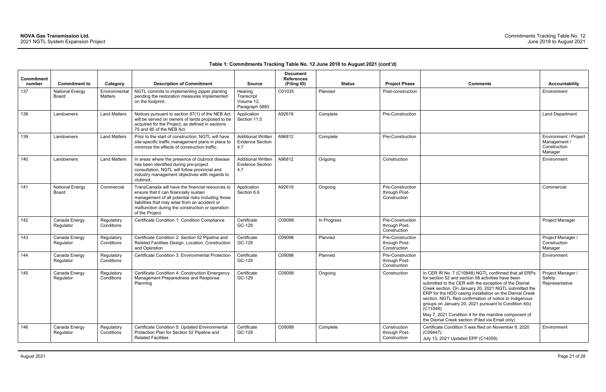# **Table 1: Commitments Tracking Table No. 12 June 2018 to August 2021 (cont'd)**

| <b>Commitment</b><br>number | <b>Commitment to</b>            | Category                 | <b>Description of Commitment</b>                                                                                                                                                                                                                                         | <b>Source</b>                                               | <b>Document</b><br><b>References</b><br>(Filing ID) | <b>Status</b> | <b>Project Phase</b>                              | <b>Comments</b>                                                                                                                                                                                                                                                                                                                                                                                                                                                                                                                           | <b>Accountability</b>                                                   |
|-----------------------------|---------------------------------|--------------------------|--------------------------------------------------------------------------------------------------------------------------------------------------------------------------------------------------------------------------------------------------------------------------|-------------------------------------------------------------|-----------------------------------------------------|---------------|---------------------------------------------------|-------------------------------------------------------------------------------------------------------------------------------------------------------------------------------------------------------------------------------------------------------------------------------------------------------------------------------------------------------------------------------------------------------------------------------------------------------------------------------------------------------------------------------------------|-------------------------------------------------------------------------|
| 137                         | <b>National Energy</b><br>Board | Environmental<br>Matters | NGTL commits to implementing zipper planting<br>pending the restoration measures implemented<br>on the footprint.                                                                                                                                                        | Hearing<br>Transcript<br>Volume 12,<br>Paragraph 5883       | C01035                                              | Planned       | Post-construction                                 |                                                                                                                                                                                                                                                                                                                                                                                                                                                                                                                                           | Environment                                                             |
| 138                         | Landowners                      | <b>Land Matters</b>      | Notices pursuant to section 87(1) of the NEB Act<br>will be served on owners of lands proposed to be<br>acquired for the Project, as defined in sections<br>75 and 85 of the NEB Act.                                                                                    | Application<br>Section 11.5                                 | A92619                                              | Complete      | Pre-Construction                                  |                                                                                                                                                                                                                                                                                                                                                                                                                                                                                                                                           | <b>Land Department</b>                                                  |
| 139                         | Landowners                      | <b>Land Matters</b>      | Prior to the start of construction, NGTL will have<br>site-specific traffic management plans in place to<br>minimize the effects of construction traffic.                                                                                                                | <b>Additional Written</b><br><b>Evidence Section</b><br>4.7 | A96812                                              | Complete      | Pre-Construction                                  |                                                                                                                                                                                                                                                                                                                                                                                                                                                                                                                                           | <b>Environment / Project</b><br>Management /<br>Construction<br>Manager |
| 140                         | Landowners                      | <b>Land Matters</b>      | In areas where the presence of clubroot disease<br>has been identified during pre-project<br>consultation, NGTL will follow provincial and<br>industry management objectives with regards to<br>clubroot.                                                                | <b>Additional Written</b><br><b>Evidence Section</b><br>4.7 | A96812                                              | Ongoing       | Construction                                      |                                                                                                                                                                                                                                                                                                                                                                                                                                                                                                                                           | Environment                                                             |
| 141                         | <b>National Energy</b><br>Board | Commercial               | TransCanada will have the financial resources to<br>ensure that it can financially sustain<br>management of all potential risks including those<br>liabilities that may arise from an accident or<br>malfunction during the construction or operation<br>of the Project. | Application<br>Section 6.6                                  | A92619                                              | Ongoing       | Pre-Construction<br>through Post-<br>Construction |                                                                                                                                                                                                                                                                                                                                                                                                                                                                                                                                           | Commercial                                                              |
| 142                         | Canada Energy<br>Regulator      | Regulatory<br>Conditions | Certificate Condition 1: Condition Compliance                                                                                                                                                                                                                            | Certificate<br>GC-129                                       | C09098                                              | In Progress   | Pre-Construction<br>through Post-<br>Construction |                                                                                                                                                                                                                                                                                                                                                                                                                                                                                                                                           | Project Manager                                                         |
| 143                         | Canada Energy<br>Regulator      | Regulatory<br>Conditions | Certificate Condition 2: Section 52 Pipeline and<br>Related Facilities Design, Location, Construction<br>and Operation                                                                                                                                                   | Certificate<br>GC-129                                       | C09098                                              | Planned       | Pre-Construction<br>through Post-<br>Construction |                                                                                                                                                                                                                                                                                                                                                                                                                                                                                                                                           | Project Manager /<br>Construction<br>Manager                            |
| 144                         | Canada Energy<br>Regulator      | Regulatory<br>Conditions | Certificate Condition 3: Environmental Protection                                                                                                                                                                                                                        | Certificate<br>GC-129                                       | C09098                                              | Planned       | Pre-Construction<br>through Post-<br>Construction |                                                                                                                                                                                                                                                                                                                                                                                                                                                                                                                                           | Environment                                                             |
| 145                         | Canada Energy<br>Regulator      | Regulatory<br>Conditions | Certificate Condition 4: Construction Emergency<br>Management Preparedness and Response<br>Planning                                                                                                                                                                      | Certificate<br>GC-129                                       | C09098                                              | Ongoing       | Construction                                      | In CER IR No. 7 (C10848) NGTL confirmed that all ERPs<br>for section 52 and section 58 activities have been<br>submitted to the CER with the exception of the Dismal<br>Creek section. On January 20, 2021 NGTL submitted the<br>ERP for the HDD casing installation on the Dismal Creek<br>section. NGTL filed confirmation of notice to Indigenous<br>groups on January 20, 2021 pursuant to Condition 4(b)<br>$(C11048)$ .<br>May 7, 2021 Condition 4 for the mainline component of<br>the Dismal Creek section (Filed via Email only) | Project Manager /<br>Safety<br>Representative                           |
| 146                         | Canada Energy<br>Regulator      | Regulatory<br>Conditions | Certificate Condition 5: Updated Environmental<br>Protection Plan for Section 52 Pipeline and<br><b>Related Facilities</b>                                                                                                                                               | Certificate<br>GC-129                                       | C09098                                              | Complete      | Construction<br>through Post-<br>Construction     | Certificate Condition 5 was filed on November 9, 2020<br>$(C09447)$ .<br>July 13, 2021 Updated EPP (C14059)                                                                                                                                                                                                                                                                                                                                                                                                                               | Environment                                                             |

| <b>Comments</b>                                                                                                                                                                                                                                                                                                                                                                                                                                                                                                                        | <b>Accountability</b>                                            |
|----------------------------------------------------------------------------------------------------------------------------------------------------------------------------------------------------------------------------------------------------------------------------------------------------------------------------------------------------------------------------------------------------------------------------------------------------------------------------------------------------------------------------------------|------------------------------------------------------------------|
|                                                                                                                                                                                                                                                                                                                                                                                                                                                                                                                                        | Environment                                                      |
|                                                                                                                                                                                                                                                                                                                                                                                                                                                                                                                                        | Land Department                                                  |
|                                                                                                                                                                                                                                                                                                                                                                                                                                                                                                                                        | Environment / Project<br>Management /<br>Construction<br>Manager |
|                                                                                                                                                                                                                                                                                                                                                                                                                                                                                                                                        | Environment                                                      |
|                                                                                                                                                                                                                                                                                                                                                                                                                                                                                                                                        | Commercial                                                       |
|                                                                                                                                                                                                                                                                                                                                                                                                                                                                                                                                        | Project Manager                                                  |
|                                                                                                                                                                                                                                                                                                                                                                                                                                                                                                                                        | Project Manager /<br>Construction<br>Manager                     |
|                                                                                                                                                                                                                                                                                                                                                                                                                                                                                                                                        | Environment                                                      |
| In CER IR No. 7 (C10848) NGTL confirmed that all ERPs<br>for section 52 and section 58 activities have been<br>submitted to the CER with the exception of the Dismal<br>Creek section. On January 20, 2021 NGTL submitted the<br>ERP for the HDD casing installation on the Dismal Creek<br>section. NGTL filed confirmation of notice to Indigenous<br>groups on January 20, 2021 pursuant to Condition 4(b)<br>(C11048).<br>May 7, 2021 Condition 4 for the mainline component of<br>the Dismal Creek section (Filed via Email only) | Project Manager /<br>Safety<br>Representative                    |
| Certificate Condition 5 was filed on November 9, 2020<br>(C09447).<br>July 13, 2021 Updated EPP (C14059)                                                                                                                                                                                                                                                                                                                                                                                                                               | Environment                                                      |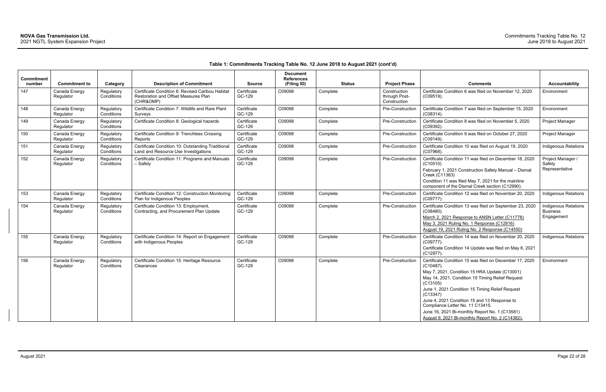| Commitment<br>number | <b>Commitment to</b>       | Category                 | <b>Description of Commitment</b>                                                                             | <b>Source</b>         | <b>Document</b><br><b>References</b><br>(Filing ID) | <b>Status</b> | <b>Project Phase</b>                          | <b>Comments</b>                                                                                                                                                                                                                                                                                                                                                                                                                                   | <b>Accountability</b>                                        |
|----------------------|----------------------------|--------------------------|--------------------------------------------------------------------------------------------------------------|-----------------------|-----------------------------------------------------|---------------|-----------------------------------------------|---------------------------------------------------------------------------------------------------------------------------------------------------------------------------------------------------------------------------------------------------------------------------------------------------------------------------------------------------------------------------------------------------------------------------------------------------|--------------------------------------------------------------|
| 147                  | Canada Energy<br>Regulator | Regulatory<br>Conditions | Certificate Condition 6: Revised Caribou Habitat<br><b>Restoration and Offset Measures Plan</b><br>(CHR&OMP) | Certificate<br>GC-129 | C09098                                              | Complete      | Construction<br>through Post-<br>Construction | Certificate Condition 6 was filed on November 12, 2020<br>(C09519).                                                                                                                                                                                                                                                                                                                                                                               | Environment                                                  |
| 148                  | Canada Energy<br>Regulator | Regulatory<br>Conditions | Certificate Condition 7: Wildlife and Rare Plant<br>Surveys                                                  | Certificate<br>GC-129 | C09098                                              | Complete      | Pre-Construction                              | Certificate Condition 7 was filed on September 15, 2020<br>$(C08314)$ .                                                                                                                                                                                                                                                                                                                                                                           | Environment                                                  |
| 149                  | Canada Energy<br>Regulator | Regulatory<br>Conditions | Certificate Condition 8: Geological hazards                                                                  | Certificate<br>GC-129 | C09098                                              | Complete      | Pre-Construction                              | Certificate Condition 8 was filed on November 5, 2020<br>(C09392).                                                                                                                                                                                                                                                                                                                                                                                | Project Manager                                              |
| 150                  | Canada Energy<br>Regulator | Regulatory<br>Conditions | Certificate Condition 9: Trenchless Crossing<br>Reports                                                      | Certificate<br>GC-129 | C09098                                              | Complete      | Pre-Construction                              | Certificate Condition 9 was filed on October 27, 2020<br>$(C09149)$ .                                                                                                                                                                                                                                                                                                                                                                             | Project Manager                                              |
| 151                  | Canada Energy<br>Regulator | Regulatory<br>Conditions | Certificate Condition 10: Outstanding Traditional<br>Land and Resource Use Investigations                    | Certificate<br>GC-129 | C09098                                              | Complete      | Pre-Construction                              | Certificate Condition 10 was filed on August 19, 2020<br>(C07968).                                                                                                                                                                                                                                                                                                                                                                                | Indigenous Relations                                         |
| 152                  | Canada Energy<br>Regulator | Regulatory<br>Conditions | Certificate Condition 11: Programs and Manuals<br>- Safety                                                   | Certificate<br>GC-129 | C09098                                              | Complete      | Pre-Construction                              | Certificate Condition 11 was filed on December 18, 2020<br>(C10510)<br>February 1, 2021 Construction Safety Manual - Dismal<br>Creek (C11383)<br>Condition 11 was filed May 7, 2021 for the mainline<br>component of the Dismal Creek section (C12990).                                                                                                                                                                                           | Project Manager /<br>Safety<br>Representative                |
| 153                  | Canada Energy<br>Regulator | Regulatory<br>Conditions | Certificate Condition 12: Construction Monitoring<br>Plan for Indigenous Peoples                             | Certificate<br>GC-129 | C09098                                              | Complete      | Pre-Construction                              | Certificate Condition 12 was filed on November 20, 2020<br>(C09777).                                                                                                                                                                                                                                                                                                                                                                              | <b>Indigenous Relations</b>                                  |
| 154                  | Canada Energy<br>Regulator | Regulatory<br>Conditions | Certificate Condition 13: Employment,<br>Contracting, and Procurement Plan Update                            | Certificate<br>GC-129 | C09098                                              | Complete      | Pre-Construction                              | Certificate Condition 13 was filed on September 23, 2020<br>(C08480).<br>March 2, 2021 Response to ANSN Letter (C11778)<br>May 3, 2021 Ruling No. 1 Response (C12816)<br>August 19, 2021 Ruling No. 2 Response (C14550)                                                                                                                                                                                                                           | <b>Indigenous Relations</b><br><b>Business</b><br>Engagement |
| 155                  | Canada Energy<br>Regulator | Regulatory<br>Conditions | Certificate Condition 14: Report on Engagement<br>with Indigenous Peoples                                    | Certificate<br>GC-129 | C09098                                              | Complete      | Pre-Construction                              | Certificate Condition 14 was filed on November 20, 2020<br>$(C09777)$ .<br>Certificate Condition 14 Update was filed on May 6, 2021<br>(C12977)                                                                                                                                                                                                                                                                                                   | Indigenous Relations                                         |
| 156                  | Canada Energy<br>Regulator | Regulatory<br>Conditions | Certificate Condition 15: Heritage Resource<br>Clearances                                                    | Certificate<br>GC-129 | C09098                                              | Complete      | Pre-Construction                              | Certificate Condition 15 was filed on December 17, 2020<br>$(C10487)$ .<br>May 7, 2021, Condition 15 HRA Update (C13001)<br>May 14, 2021, Condition 15 Timing Relief Request<br>(C13105)<br>June 1, 2021 Condition 15 Timing Relief Request<br>(C13347)<br>June 4, 2021 Condition 15 and 13 Response to<br>Compliance Letter No. 11 C13415.<br>June 16, 2021 Bi-monthly Report No. 1 (C13581)<br>August 9, 2021 Bi-monthly Report No. 2 (C14382). | Environment                                                  |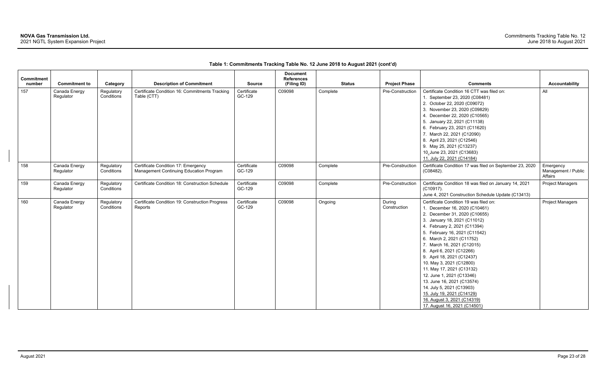| Commitment<br>number | <b>Commitment to</b>       | Category                 | <b>Description of Commitment</b>                                               | <b>Source</b>         | <b>Document</b><br><b>References</b><br>(Filing ID) |          | <b>Status</b> | <b>Project Phase</b>   | <b>Comments</b>                                                                                                                                                                                                                                                                                                                                                                                                                                                                                                                                                               | <b>Accountability</b>                       |
|----------------------|----------------------------|--------------------------|--------------------------------------------------------------------------------|-----------------------|-----------------------------------------------------|----------|---------------|------------------------|-------------------------------------------------------------------------------------------------------------------------------------------------------------------------------------------------------------------------------------------------------------------------------------------------------------------------------------------------------------------------------------------------------------------------------------------------------------------------------------------------------------------------------------------------------------------------------|---------------------------------------------|
| 157                  | Canada Energy<br>Regulator | Regulatory<br>Conditions | Certificate Condition 16: Commitments Tracking<br>Table (CTT)                  | Certificate<br>GC-129 | C09098                                              | Complete |               | Pre-Construction       | Certificate Condition 16 CTT was filed on:<br>1. September 23, 2020 (C08481)<br>2. October 22, 2020 (C09072)<br>3. November 23, 2020 (C09829)<br>4. December 22, 2020 (C10565)<br>5. January 22, 2021 (C11138)<br>6. February 23, 2021 (C11620)<br>7. March 22, 2021 (C12090)<br>8. April 23, 2021 (C12546)<br>9. May 25, 2021 (C13237)<br>10. June 23, 2021 (C13683)<br>11. July 22, 2021 (C14184)                                                                                                                                                                           | All                                         |
| 158                  | Canada Energy<br>Regulator | Regulatory<br>Conditions | Certificate Condition 17: Emergency<br>Management Continuing Education Program | Certificate<br>GC-129 | C09098                                              | Complete |               | Pre-Construction       | Certificate Condition 17 was filed on September 23, 2020<br>(C08482).                                                                                                                                                                                                                                                                                                                                                                                                                                                                                                         | Emergency<br>Management / Public<br>Affairs |
| 159                  | Canada Energy<br>Regulator | Regulatory<br>Conditions | Certificate Condition 18: Construction Schedule                                | Certificate<br>GC-129 | C09098                                              | Complete |               | Pre-Construction       | Certificate Condition 18 was filed on January 14, 2021<br>(C10917).<br>June 4, 2021 Construction Schedule Update (C13413)                                                                                                                                                                                                                                                                                                                                                                                                                                                     | <b>Project Managers</b>                     |
| 160                  | Canada Energy<br>Regulator | Regulatory<br>Conditions | Certificate Condition 19: Construction Progress<br>Reports                     | Certificate<br>GC-129 | C09098                                              | Ongoing  |               | During<br>Construction | Certificate Condition 19 was filed on:<br>1. December 16, 2020 (C10461)<br>2. December 31, 2020 (C10655)<br>3. January 18, 2021 (C11012)<br>4. February 2, 2021 (C11394)<br>5. February 16, 2021 (C11542)<br>6. March 2, 2021 (C11752)<br>7. March 16, 2021 (C12015)<br>8. April 6, 2021 (C12266)<br>9. April 18, 2021 (C12437)<br>10. May 3, 2021 (C12800)<br>11. May 17, 2021 (C13132)<br>12. June 1, 2021 (C13346)<br>13. June 16, 2021 (C13574)<br>14. July 5, 2021 (C13903)<br>15. July 19, 2021 (C14129)<br>16. August 3, 2021 (C14319)<br>17. August 16, 2021 (C14501) | <b>Project Managers</b>                     |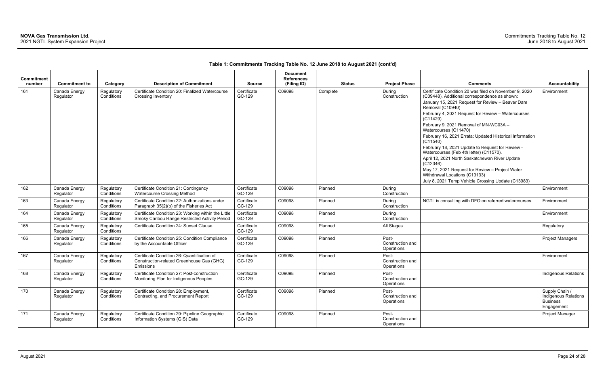| <b>Commitment</b><br>number | <b>Commitment to</b>       | Category                 | <b>Description of Commitment</b>                                                                      | <b>Source</b>         | <b>Document</b><br><b>References</b><br>(Filing ID) |          | <b>Status</b>          | <b>Project Phase</b> | <b>Comments</b>                                                                                                                                                                                                                                                                                                                                                                                                                                                                                                                                                                                                                                                                                         | Accountability                                                          |
|-----------------------------|----------------------------|--------------------------|-------------------------------------------------------------------------------------------------------|-----------------------|-----------------------------------------------------|----------|------------------------|----------------------|---------------------------------------------------------------------------------------------------------------------------------------------------------------------------------------------------------------------------------------------------------------------------------------------------------------------------------------------------------------------------------------------------------------------------------------------------------------------------------------------------------------------------------------------------------------------------------------------------------------------------------------------------------------------------------------------------------|-------------------------------------------------------------------------|
| 161                         | Canada Energy<br>Regulator | Regulatory<br>Conditions | Certificate Condition 20: Finalized Watercourse<br><b>Crossing Inventory</b>                          | Certificate<br>GC-129 | C09098                                              | Complete | During<br>Construction |                      | Certificate Condition 20 was filed on November 9, 2020<br>(C09448). Additional correspondence as shown:<br>January 15, 2021 Request for Review - Beaver Dam<br>Removal (C10940)<br>February 4, 2021 Request for Review - Watercourses<br>(C11429)<br>February 9, 2021 Removal of MN-WC03A -<br>Watercourses (C11470)<br>February 16, 2021 Errata: Updated Historical Information<br>(C11540)<br>February 18, 2021 Update to Request for Review -<br>Watercourses (Feb 4th letter) (C11570).<br>April 12, 2021 North Saskatchewan River Update<br>$(C12346)$ .<br>May 17, 2021 Request for Review - Project Water<br>Withdrawal Locations (C13133)<br>July 8, 2021 Temp Vehicle Crossing Update (C13983) | Environment                                                             |
| 162                         | Canada Energy<br>Regulator | Regulatory<br>Conditions | Certificate Condition 21: Contingency<br><b>Watercourse Crossing Method</b>                           | Certificate<br>GC-129 | C09098                                              | Planned  | During<br>Construction |                      |                                                                                                                                                                                                                                                                                                                                                                                                                                                                                                                                                                                                                                                                                                         | Environment                                                             |
| 163                         | Canada Energy<br>Regulator | Regulatory<br>Conditions | Certificate Condition 22: Authorizations under<br>Paragraph 35(2)(b) of the Fisheries Act             | Certificate<br>GC-129 | C09098                                              | Planned  | During<br>Construction |                      | NGTL is consulting with DFO on referred watercourses.                                                                                                                                                                                                                                                                                                                                                                                                                                                                                                                                                                                                                                                   | Environment                                                             |
| 164                         | Canada Energy<br>Regulator | Regulatory<br>Conditions | Certificate Condition 23: Working within the Little<br>Smoky Caribou Range Restricted Activity Period | Certificate<br>GC-129 | C09098                                              | Planned  | During<br>Construction |                      |                                                                                                                                                                                                                                                                                                                                                                                                                                                                                                                                                                                                                                                                                                         | Environment                                                             |
| 165                         | Canada Energy<br>Regulator | Regulatory<br>Conditions | Certificate Condition 24: Sunset Clause                                                               | Certificate<br>GC-129 | C09098                                              | Planned  | All Stages             |                      |                                                                                                                                                                                                                                                                                                                                                                                                                                                                                                                                                                                                                                                                                                         | Regulatory                                                              |
| 166                         | Canada Energy<br>Regulator | Regulatory<br>Conditions | Certificate Condition 25: Condition Compliance<br>by the Accountable Officer                          | Certificate<br>GC-129 | C09098                                              | Planned  | Post-<br>Operations    | Construction and     |                                                                                                                                                                                                                                                                                                                                                                                                                                                                                                                                                                                                                                                                                                         | <b>Project Managers</b>                                                 |
| 167                         | Canada Energy<br>Regulator | Regulatory<br>Conditions | Certificate Condition 26: Quantification of<br>Construction-related Greenhouse Gas (GHG)<br>Emissions | Certificate<br>GC-129 | C09098                                              | Planned  | Post-<br>Operations    | Construction and     |                                                                                                                                                                                                                                                                                                                                                                                                                                                                                                                                                                                                                                                                                                         | Environment                                                             |
| 168                         | Canada Energy<br>Regulator | Regulatory<br>Conditions | Certificate Condition 27: Post-construction<br>Monitoring Plan for Indigenous Peoples                 | Certificate<br>GC-129 | C09098                                              | Planned  | Post-<br>Operations    | Construction and     |                                                                                                                                                                                                                                                                                                                                                                                                                                                                                                                                                                                                                                                                                                         | <b>Indigenous Relations</b>                                             |
| 170                         | Canada Energy<br>Regulator | Regulatory<br>Conditions | Certificate Condition 28: Employment,<br>Contracting, and Procurement Report                          | Certificate<br>GC-129 | C09098                                              | Planned  | Post-<br>Operations    | Construction and     |                                                                                                                                                                                                                                                                                                                                                                                                                                                                                                                                                                                                                                                                                                         | Supply Chain /<br>Indigenous Relations<br><b>Business</b><br>Engagement |
| 171                         | Canada Energy<br>Regulator | Regulatory<br>Conditions | Certificate Condition 29: Pipeline Geographic<br>Information Systems (GIS) Data                       | Certificate<br>GC-129 | C09098                                              | Planned  | Post-<br>Operations    | Construction and     |                                                                                                                                                                                                                                                                                                                                                                                                                                                                                                                                                                                                                                                                                                         | Project Manager                                                         |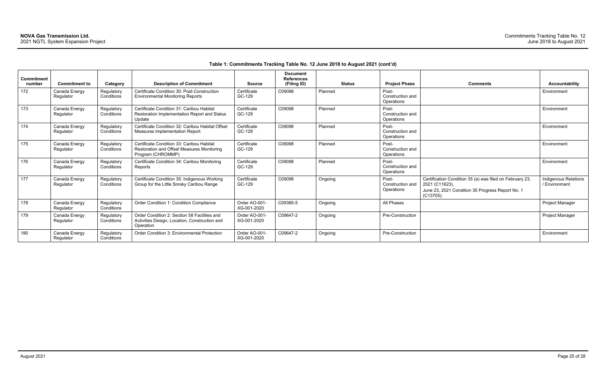| <b>Comments</b>                                                                                                                             | <b>Accountability</b>                 |
|---------------------------------------------------------------------------------------------------------------------------------------------|---------------------------------------|
|                                                                                                                                             | Environment                           |
|                                                                                                                                             | Environment                           |
|                                                                                                                                             | Environment                           |
|                                                                                                                                             | Environment                           |
|                                                                                                                                             | Environment                           |
| Certification Condition 35 (a) was filed on February 23,<br>2021 (C11623).<br>June 23, 2021 Condition 35 Progress Report No. 1<br>(C13705). | Indigenous Relations<br>/ Environment |
|                                                                                                                                             | Project Manager                       |
|                                                                                                                                             | Project Manager                       |
|                                                                                                                                             | Environment                           |

| <b>Commitment</b><br>number | <b>Commitment to</b>       | Category                 | <b>Description of Commitment</b>                                                                             | <b>Source</b>                | <b>Document</b><br><b>References</b><br>(Filing ID) | <b>Status</b> | <b>Project Phase</b>                    | <b>Comments</b>                                                                                                                                | <b>Accountability</b>                |
|-----------------------------|----------------------------|--------------------------|--------------------------------------------------------------------------------------------------------------|------------------------------|-----------------------------------------------------|---------------|-----------------------------------------|------------------------------------------------------------------------------------------------------------------------------------------------|--------------------------------------|
| 172                         | Canada Energy<br>Regulator | Regulatory<br>Conditions | Certificate Condition 30: Post-Construction<br><b>Environmental Monitoring Reports</b>                       | Certificate<br>GC-129        | C09098                                              | Planned       | Post-<br>Construction and<br>Operations |                                                                                                                                                | Environment                          |
| 173                         | Canada Energy<br>Regulator | Regulatory<br>Conditions | Certificate Condition 31: Caribou Habitat<br><b>Restoration Implementation Report and Status</b><br>Update   | Certificate<br>GC-129        | C09098                                              | Planned       | Post-<br>Construction and<br>Operations |                                                                                                                                                | Environment                          |
| 174                         | Canada Energy<br>Regulator | Regulatory<br>Conditions | Certificate Condition 32: Caribou Habitat Offset<br>Measures Implementation Report                           | Certificate<br>GC-129        | C09098                                              | Planned       | Post-<br>Construction and<br>Operations |                                                                                                                                                | Environment                          |
| 175                         | Canada Energy<br>Regulator | Regulatory<br>Conditions | Certificate Condition 33: Caribou Habitat<br>Restoration and Offset Measures Monitoring<br>Program (CHROMMP) | Certificate<br>GC-129        | C09098                                              | Planned       | Post-<br>Construction and<br>Operations |                                                                                                                                                | Environment                          |
| 176                         | Canada Energy<br>Regulator | Regulatory<br>Conditions | Certificate Condition 34: Caribou Monitoring<br>Reports                                                      | Certificate<br>GC-129        | C09098                                              | Planned       | Post-<br>Construction and<br>Operations |                                                                                                                                                | Environment                          |
| 177                         | Canada Energy<br>Regulator | Regulatory<br>Conditions | Certificate Condition 35: Indigenous Working<br>Group for the Little Smoky Caribou Range                     | Certificate<br>GC-129        | C09098                                              | Ongoing       | Post-<br>Construction and<br>Operations | Certification Condition 35 (a) was filed on February 23,<br>2021 (C11623).<br>June 23, 2021 Condition 35 Progress Report No. 1<br>$(C13705)$ . | Indigenous Relatior<br>/ Environment |
| 178                         | Canada Energy<br>Regulator | Regulatory<br>Conditions | Order Condition 1: Condition Compliance                                                                      | Order AO-001-<br>XG-001-2020 | C09385-5                                            | Ongoing       | All Phases                              |                                                                                                                                                | Project Manager                      |
| 179                         | Canada Energy<br>Regulator | Regulatory<br>Conditions | Order Condition 2: Section 58 Facilities and<br>Activities Design, Location, Construction and<br>Operation   | Order AO-001-<br>XG-001-2020 | C09647-2                                            | Ongoing       | Pre-Construction                        |                                                                                                                                                | Project Manager                      |
| 180                         | Canada Energy<br>Regulator | Regulatory<br>Conditions | Order Condition 3: Environmental Protection                                                                  | Order AO-001-<br>XG-001-2020 | C09647-2                                            | Ongoing       | Pre-Construction                        |                                                                                                                                                | Environment                          |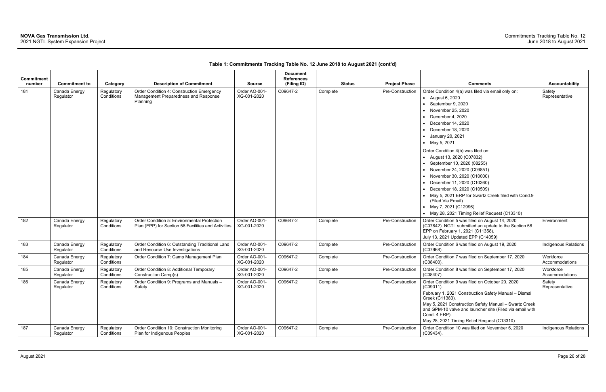| <b>Commitment</b><br>number | <b>Commitment to</b>       | Category                 | <b>Description of Commitment</b>                                                                   | <b>Source</b>                | <b>Document</b><br><b>References</b><br>(Filing ID) | <b>Status</b> | <b>Project Phase</b> | <b>Comments</b>                                                                                                                                                                                                                                                                                                                                                                                                                                                                                                                                                                                                                            | <b>Accountability</b>       |
|-----------------------------|----------------------------|--------------------------|----------------------------------------------------------------------------------------------------|------------------------------|-----------------------------------------------------|---------------|----------------------|--------------------------------------------------------------------------------------------------------------------------------------------------------------------------------------------------------------------------------------------------------------------------------------------------------------------------------------------------------------------------------------------------------------------------------------------------------------------------------------------------------------------------------------------------------------------------------------------------------------------------------------------|-----------------------------|
| 181                         | Canada Energy<br>Regulator | Regulatory<br>Conditions | Order Condition 4: Construction Emergency<br>Management Preparedness and Response<br>Planning      | Order AO-001-<br>XG-001-2020 | C09647-2                                            | Complete      | Pre-Construction     | Order Condition 4(a) was filed via email only on:<br>• August 6, 2020<br>• September 9, 2020<br>• November 25, 2020<br>• December 4, 2020<br>$\bullet$ December 14, 2020<br>$\bullet$ December 18, 2020<br>• January 20, 2021<br>• May 5, 2021<br>Order Condition 4(b) was filed on:<br>• August 13, 2020 (C07832)<br>• September 10, 2020 (08255)<br>• November 24, 2020 (C09851)<br>• November 30, 2020 (C10000)<br>• December 11, 2020 (C10360)<br>• December 18, 2020 (C10509)<br>• May 5, 2021 ERP for Swartz Creek filed with Cond.9<br>(Filed Via Email)<br>• May 7, 2021 (C12996)<br>• May 28, 2021 Timing Relief Request (C13310) | Safety<br>Representative    |
| 182                         | Canada Energy<br>Regulator | Regulatory<br>Conditions | Order Condition 5: Environmental Protection<br>Plan (EPP) for Section 58 Facilities and Activities | Order AO-001-<br>XG-001-2020 | C09647-2                                            | Complete      | Pre-Construction     | Order Condition 5 was filed on August 14, 2020<br>(C07842). NGTL submitted an update to the Section 58<br>EPP on February 1, 2021 (C11358).<br>July 13, 2021 Updated EPP (C14059)                                                                                                                                                                                                                                                                                                                                                                                                                                                          | Environment                 |
| 183                         | Canada Energy<br>Regulator | Regulatory<br>Conditions | Order Condition 6: Outstanding Traditional Land<br>and Resource Use Investigations                 | Order AO-001-<br>XG-001-2020 | C09647-2                                            | Complete      | Pre-Construction     | Order Condition 6 was filed on August 19, 2020<br>$(C07968)$ .                                                                                                                                                                                                                                                                                                                                                                                                                                                                                                                                                                             | Indigenous Relations        |
| 184                         | Canada Energy<br>Regulator | Regulatory<br>Conditions | Order Condition 7: Camp Management Plan                                                            | Order AO-001-<br>XG-001-2020 | C09647-2                                            | Complete      | Pre-Construction     | Order Condition 7 was filed on September 17, 2020<br>$(C08400)$ .                                                                                                                                                                                                                                                                                                                                                                                                                                                                                                                                                                          | Workforce<br>Accommodations |
| 185                         | Canada Energy<br>Regulator | Regulatory<br>Conditions | Order Condition 8: Additional Temporary<br>Construction Camp(s)                                    | Order AO-001-<br>XG-001-2020 | C09647-2                                            | Complete      | Pre-Construction     | Order Condition 8 was filed on September 17, 2020<br>(C08407).                                                                                                                                                                                                                                                                                                                                                                                                                                                                                                                                                                             | Workforce<br>Accommodations |
| 186                         | Canada Energy<br>Regulator | Regulatory<br>Conditions | Order Condition 9: Programs and Manuals -<br>Safety                                                | Order AO-001-<br>XG-001-2020 | C09647-2                                            | Complete      | Pre-Construction     | Order Condition 9 was filed on October 20, 2020<br>(C09011).<br>February 1, 2021 Construction Safety Manual - Dismal<br>Creek (C11383).<br>May 5, 2021 Construction Safety Manual - Swartz Creek<br>and GPM-10 valve and launcher site (Filed via email with<br>Cond. 4 ERP).<br>May 28, 2021 Timing Relief Request (C13310)                                                                                                                                                                                                                                                                                                               | Safety<br>Representative    |
| 187                         | Canada Energy<br>Regulator | Regulatory<br>Conditions | Order Condition 10: Construction Monitoring<br>Plan for Indigenous Peoples                         | Order AO-001-<br>XG-001-2020 | C09647-2                                            | Complete      | Pre-Construction     | Order Condition 10 was filed on November 6, 2020<br>$(C09434)$ .                                                                                                                                                                                                                                                                                                                                                                                                                                                                                                                                                                           | <b>Indigenous Relations</b> |